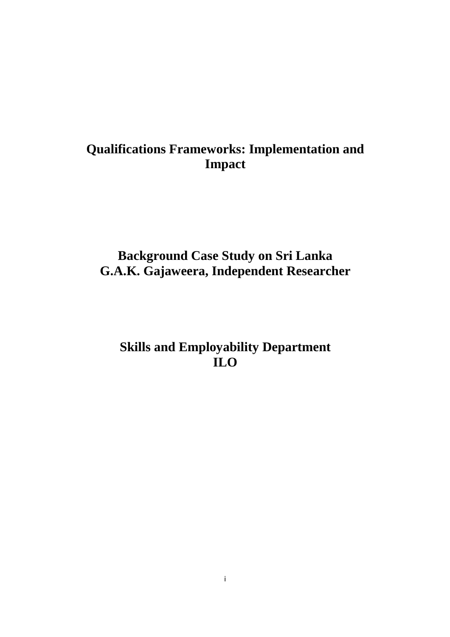# **Qualifications Frameworks: Implementation and Impact**

# **Background Case Study on Sri Lanka G.A.K. Gajaweera, Independent Researcher**

# **Skills and Employability Department ILO**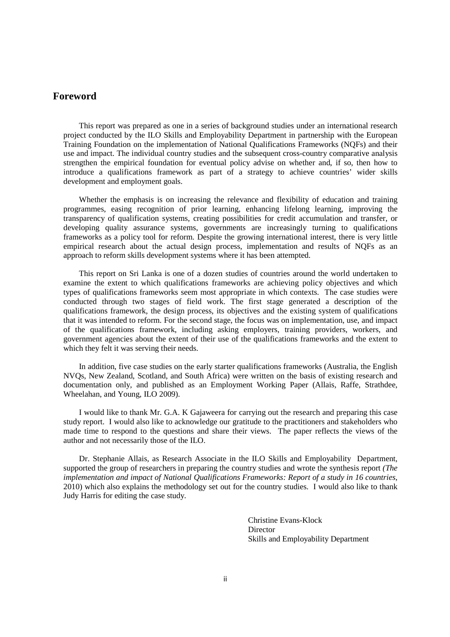## **Foreword**

This report was prepared as one in a series of background studies under an international research project conducted by the ILO Skills and Employability Department in partnership with the European Training Foundation on the implementation of National Qualifications Frameworks (NQFs) and their use and impact. The individual country studies and the subsequent cross-country comparative analysis strengthen the empirical foundation for eventual policy advise on whether and, if so, then how to introduce a qualifications framework as part of a strategy to achieve countries' wider skills development and employment goals.

Whether the emphasis is on increasing the relevance and flexibility of education and training programmes, easing recognition of prior learning, enhancing lifelong learning, improving the transparency of qualification systems, creating possibilities for credit accumulation and transfer, or developing quality assurance systems, governments are increasingly turning to qualifications frameworks as a policy tool for reform. Despite the growing international interest, there is very little empirical research about the actual design process, implementation and results of NQFs as an approach to reform skills development systems where it has been attempted.

This report on Sri Lanka is one of a dozen studies of countries around the world undertaken to examine the extent to which qualifications frameworks are achieving policy objectives and which types of qualifications frameworks seem most appropriate in which contexts. The case studies were conducted through two stages of field work. The first stage generated a description of the qualifications framework, the design process, its objectives and the existing system of qualifications that it was intended to reform. For the second stage, the focus was on implementation, use, and impact of the qualifications framework, including asking employers, training providers, workers, and government agencies about the extent of their use of the qualifications frameworks and the extent to which they felt it was serving their needs.

In addition, five case studies on the early starter qualifications frameworks (Australia, the English NVQs, New Zealand, Scotland, and South Africa) were written on the basis of existing research and documentation only, and published as an Employment Working Paper (Allais, Raffe, Strathdee, Wheelahan, and Young, ILO 2009).

I would like to thank Mr. G.A. K Gajaweera for carrying out the research and preparing this case study report. I would also like to acknowledge our gratitude to the practitioners and stakeholders who made time to respond to the questions and share their views. The paper reflects the views of the author and not necessarily those of the ILO.

Dr. Stephanie Allais, as Research Associate in the ILO Skills and Employability Department, supported the group of researchers in preparing the country studies and wrote the synthesis report *(The implementation and impact of National Qualifications Frameworks: Report of a study in 16 countries*, 2010) which also explains the methodology set out for the country studies. I would also like to thank Judy Harris for editing the case study.

> Christine Evans-Klock Director Skills and Employability Department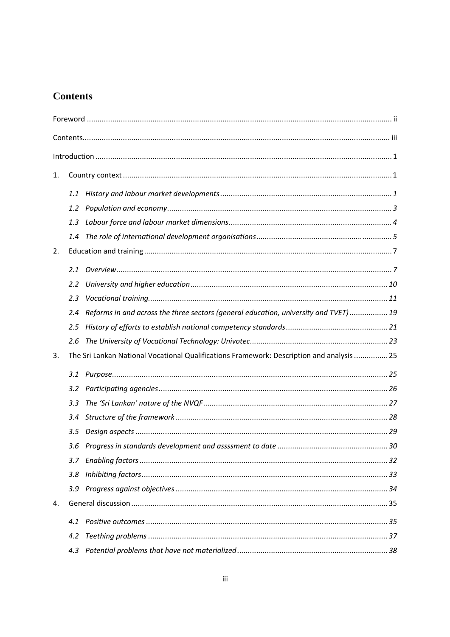## **Contents**

| 1. |         |                                                                                           |  |  |  |
|----|---------|-------------------------------------------------------------------------------------------|--|--|--|
|    | 1.1     |                                                                                           |  |  |  |
|    | 1.2     |                                                                                           |  |  |  |
|    | 1.3     |                                                                                           |  |  |  |
|    | 1.4     |                                                                                           |  |  |  |
| 2. |         |                                                                                           |  |  |  |
|    | 2.1     |                                                                                           |  |  |  |
|    | $2.2\,$ |                                                                                           |  |  |  |
|    | 2.3     |                                                                                           |  |  |  |
|    | 2.4     | Reforms in and across the three sectors (general education, university and TVET) 19       |  |  |  |
|    | 2.5     |                                                                                           |  |  |  |
|    | 2.6     |                                                                                           |  |  |  |
| 3. |         | The Sri Lankan National Vocational Qualifications Framework: Description and analysis  25 |  |  |  |
|    | 3.1     |                                                                                           |  |  |  |
|    | 3.2     |                                                                                           |  |  |  |
|    | 3.3     |                                                                                           |  |  |  |
|    | 3.4     |                                                                                           |  |  |  |
|    | 3.5     |                                                                                           |  |  |  |
|    |         |                                                                                           |  |  |  |
|    |         |                                                                                           |  |  |  |
|    | 3.8     |                                                                                           |  |  |  |
|    |         |                                                                                           |  |  |  |
| 4. |         |                                                                                           |  |  |  |
|    | 4.1     |                                                                                           |  |  |  |
|    | 4.2     |                                                                                           |  |  |  |
|    | 4.3     |                                                                                           |  |  |  |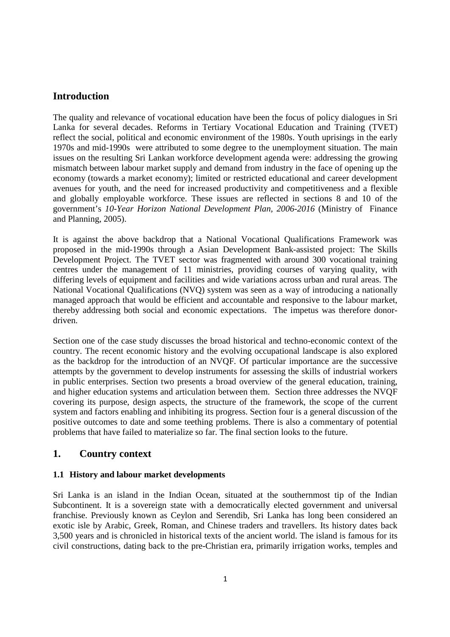## **Introduction**

The quality and relevance of vocational education have been the focus of policy dialogues in Sri Lanka for several decades. Reforms in Tertiary Vocational Education and Training (TVET) reflect the social, political and economic environment of the 1980s. Youth uprisings in the early 1970s and mid-1990s were attributed to some degree to the unemployment situation. The main issues on the resulting Sri Lankan workforce development agenda were: addressing the growing mismatch between labour market supply and demand from industry in the face of opening up the economy (towards a market economy); limited or restricted educational and career development avenues for youth, and the need for increased productivity and competitiveness and a flexible and globally employable workforce. These issues are reflected in sections 8 and 10 of the government's *10-Year Horizon National Development Plan, 2006-2016* (Ministry of Finance and Planning, 2005).

It is against the above backdrop that a National Vocational Qualifications Framework was proposed in the mid-1990s through a Asian Development Bank-assisted project: The Skills Development Project. The TVET sector was fragmented with around 300 vocational training centres under the management of 11 ministries, providing courses of varying quality, with differing levels of equipment and facilities and wide variations across urban and rural areas. The National Vocational Qualifications (NVQ) system was seen as a way of introducing a nationally managed approach that would be efficient and accountable and responsive to the labour market, thereby addressing both social and economic expectations. The impetus was therefore donordriven.

Section one of the case study discusses the broad historical and techno-economic context of the country. The recent economic history and the evolving occupational landscape is also explored as the backdrop for the introduction of an NVQF. Of particular importance are the successive attempts by the government to develop instruments for assessing the skills of industrial workers in public enterprises. Section two presents a broad overview of the general education, training, and higher education systems and articulation between them. Section three addresses the NVQF covering its purpose, design aspects, the structure of the framework, the scope of the current system and factors enabling and inhibiting its progress. Section four is a general discussion of the positive outcomes to date and some teething problems. There is also a commentary of potential problems that have failed to materialize so far. The final section looks to the future.

## **1. Country context**

#### **1.1 History and labour market developments**

Sri Lanka is an island in the Indian Ocean, situated at the southernmost tip of the Indian Subcontinent. It is a sovereign state with a democratically elected government and universal franchise. Previously known as Ceylon and Serendib, Sri Lanka has long been considered an exotic isle by Arabic, Greek, Roman, and Chinese traders and travellers. Its history dates back 3,500 years and is chronicled in historical texts of the ancient world. The island is famous for its civil constructions, dating back to the pre-Christian era, primarily irrigation works, temples and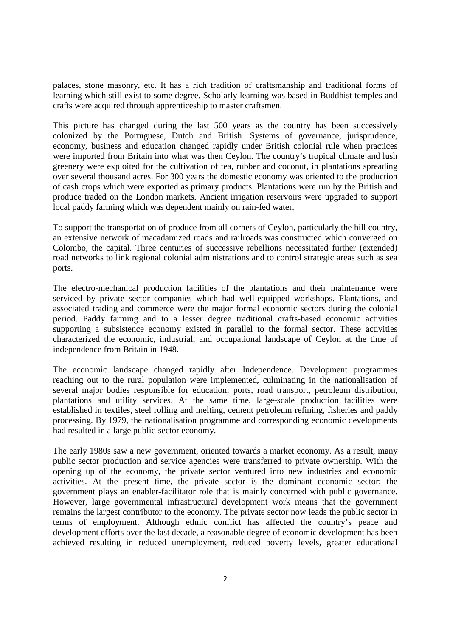palaces, stone masonry, etc. It has a rich tradition of craftsmanship and traditional forms of learning which still exist to some degree. Scholarly learning was based in Buddhist temples and crafts were acquired through apprenticeship to master craftsmen.

This picture has changed during the last 500 years as the country has been successively colonized by the Portuguese, Dutch and British. Systems of governance, jurisprudence, economy, business and education changed rapidly under British colonial rule when practices were imported from Britain into what was then Ceylon. The country's tropical climate and lush greenery were exploited for the cultivation of tea, rubber and coconut, in plantations spreading over several thousand acres. For 300 years the domestic economy was oriented to the production of cash crops which were exported as primary products. Plantations were run by the British and produce traded on the London markets. Ancient irrigation reservoirs were upgraded to support local paddy farming which was dependent mainly on rain-fed water.

To support the transportation of produce from all corners of Ceylon, particularly the hill country, an extensive network of macadamized roads and railroads was constructed which converged on Colombo, the capital. Three centuries of successive rebellions necessitated further (extended) road networks to link regional colonial administrations and to control strategic areas such as sea ports.

The electro-mechanical production facilities of the plantations and their maintenance were serviced by private sector companies which had well-equipped workshops. Plantations, and associated trading and commerce were the major formal economic sectors during the colonial period. Paddy farming and to a lesser degree traditional crafts-based economic activities supporting a subsistence economy existed in parallel to the formal sector. These activities characterized the economic, industrial, and occupational landscape of Ceylon at the time of independence from Britain in 1948.

The economic landscape changed rapidly after Independence. Development programmes reaching out to the rural population were implemented, culminating in the nationalisation of several major bodies responsible for education, ports, road transport, petroleum distribution, plantations and utility services. At the same time, large-scale production facilities were established in textiles, steel rolling and melting, cement petroleum refining, fisheries and paddy processing. By 1979, the nationalisation programme and corresponding economic developments had resulted in a large public-sector economy.

The early 1980s saw a new government, oriented towards a market economy. As a result, many public sector production and service agencies were transferred to private ownership. With the opening up of the economy, the private sector ventured into new industries and economic activities. At the present time, the private sector is the dominant economic sector; the government plays an enabler-facilitator role that is mainly concerned with public governance. However, large governmental infrastructural development work means that the government remains the largest contributor to the economy. The private sector now leads the public sector in terms of employment. Although ethnic conflict has affected the country's peace and development efforts over the last decade, a reasonable degree of economic development has been achieved resulting in reduced unemployment, reduced poverty levels, greater educational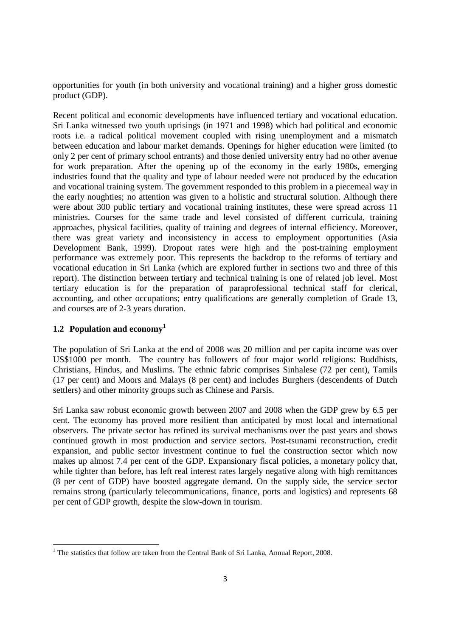opportunities for youth (in both university and vocational training) and a higher gross domestic product (GDP).

Recent political and economic developments have influenced tertiary and vocational education. Sri Lanka witnessed two youth uprisings (in 1971 and 1998) which had political and economic roots i.e. a radical political movement coupled with rising unemployment and a mismatch between education and labour market demands. Openings for higher education were limited (to only 2 per cent of primary school entrants) and those denied university entry had no other avenue for work preparation. After the opening up of the economy in the early 1980s, emerging industries found that the quality and type of labour needed were not produced by the education and vocational training system. The government responded to this problem in a piecemeal way in the early noughties; no attention was given to a holistic and structural solution. Although there were about 300 public tertiary and vocational training institutes, these were spread across 11 ministries. Courses for the same trade and level consisted of different curricula, training approaches, physical facilities, quality of training and degrees of internal efficiency. Moreover, there was great variety and inconsistency in access to employment opportunities (Asia Development Bank, 1999). Dropout rates were high and the post-training employment performance was extremely poor. This represents the backdrop to the reforms of tertiary and vocational education in Sri Lanka (which are explored further in sections two and three of this report). The distinction between tertiary and technical training is one of related job level. Most tertiary education is for the preparation of paraprofessional technical staff for clerical, accounting, and other occupations; entry qualifications are generally completion of Grade 13, and courses are of 2-3 years duration.

## **1.2 Population and economy<sup>1</sup>**

<u>.</u>

The population of Sri Lanka at the end of 2008 was 20 million and per capita income was over US\$1000 per month. The country has followers of four major world religions: Buddhists, Christians, Hindus, and Muslims. The ethnic fabric comprises Sinhalese (72 per cent), Tamils (17 per cent) and Moors and Malays (8 per cent) and includes Burghers (descendents of Dutch settlers) and other minority groups such as Chinese and Parsis.

Sri Lanka saw robust economic growth between 2007 and 2008 when the GDP grew by 6.5 per cent. The economy has proved more resilient than anticipated by most local and international observers. The private sector has refined its survival mechanisms over the past years and shows continued growth in most production and service sectors. Post-tsunami reconstruction, credit expansion, and public sector investment continue to fuel the construction sector which now makes up almost 7.4 per cent of the GDP. Expansionary fiscal policies, a monetary policy that, while tighter than before, has left real interest rates largely negative along with high remittances (8 per cent of GDP) have boosted aggregate demand. On the supply side, the service sector remains strong (particularly telecommunications, finance, ports and logistics) and represents 68 per cent of GDP growth, despite the slow-down in tourism.

<sup>&</sup>lt;sup>1</sup> The statistics that follow are taken from the Central Bank of Sri Lanka, Annual Report, 2008.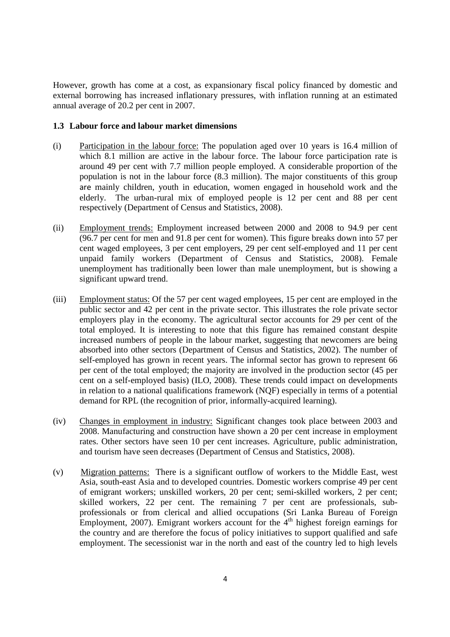However, growth has come at a cost, as expansionary fiscal policy financed by domestic and external borrowing has increased inflationary pressures, with inflation running at an estimated annual average of 20.2 per cent in 2007.

#### **1.3 Labour force and labour market dimensions**

- (i) Participation in the labour force: The population aged over 10 years is 16.4 million of which 8.1 million are active in the labour force. The labour force participation rate is around 49 per cent with 7.7 million people employed. A considerable proportion of the population is not in the labour force (8.3 million). The major constituents of this group are mainly children, youth in education, women engaged in household work and the elderly. The urban-rural mix of employed people is 12 per cent and 88 per cent respectively (Department of Census and Statistics, 2008).
- (ii) Employment trends: Employment increased between 2000 and 2008 to 94.9 per cent (96.7 per cent for men and 91.8 per cent for women). This figure breaks down into 57 per cent waged employees, 3 per cent employers, 29 per cent self-employed and 11 per cent unpaid family workers (Department of Census and Statistics, 2008). Female unemployment has traditionally been lower than male unemployment, but is showing a significant upward trend.
- (iii) Employment status: Of the 57 per cent waged employees, 15 per cent are employed in the public sector and 42 per cent in the private sector. This illustrates the role private sector employers play in the economy. The agricultural sector accounts for 29 per cent of the total employed. It is interesting to note that this figure has remained constant despite increased numbers of people in the labour market, suggesting that newcomers are being absorbed into other sectors (Department of Census and Statistics, 2002). The number of self-employed has grown in recent years. The informal sector has grown to represent 66 per cent of the total employed; the majority are involved in the production sector (45 per cent on a self-employed basis) (ILO, 2008). These trends could impact on developments in relation to a national qualifications framework (NQF) especially in terms of a potential demand for RPL (the recognition of prior, informally-acquired learning).
- (iv) Changes in employment in industry: Significant changes took place between 2003 and 2008. Manufacturing and construction have shown a 20 per cent increase in employment rates. Other sectors have seen 10 per cent increases. Agriculture, public administration, and tourism have seen decreases (Department of Census and Statistics, 2008).
- (v) Migration patterns: There is a significant outflow of workers to the Middle East, west Asia, south-east Asia and to developed countries. Domestic workers comprise 49 per cent of emigrant workers; unskilled workers, 20 per cent; semi-skilled workers, 2 per cent; skilled workers, 22 per cent. The remaining 7 per cent are professionals, subprofessionals or from clerical and allied occupations (Sri Lanka Bureau of Foreign Employment, 2007). Emigrant workers account for the  $4<sup>th</sup>$  highest foreign earnings for the country and are therefore the focus of policy initiatives to support qualified and safe employment. The secessionist war in the north and east of the country led to high levels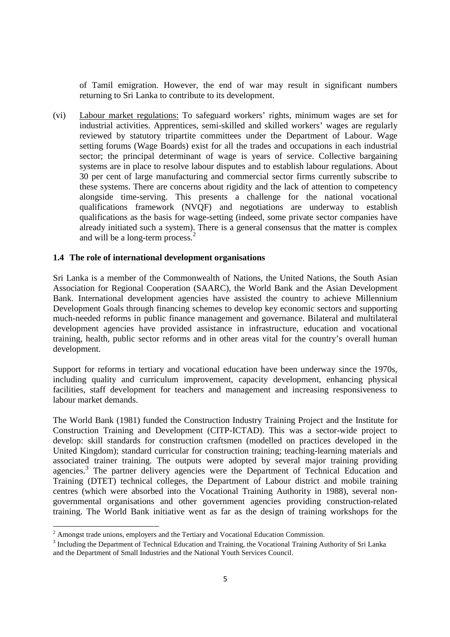of Tamil emigration. However, the end of war may result in significant numbers returning to Sri Lanka to contribute to its development.

(vi) Labour market regulations: To safeguard workers' rights, minimum wages are set for industrial activities. Apprentices, semi-skilled and skilled workers' wages are regularly reviewed by statutory tripartite committees under the Department of Labour. Wage setting forums (Wage Boards) exist for all the trades and occupations in each industrial sector; the principal determinant of wage is years of service. Collective bargaining systems are in place to resolve labour disputes and to establish labour regulations. About 30 per cent of large manufacturing and commercial sector firms currently subscribe to these systems. There are concerns about rigidity and the lack of attention to competency alongside time-serving. This presents a challenge for the national vocational qualifications framework (NVQF) and negotiations are underway to establish qualifications as the basis for wage-setting (indeed, some private sector companies have already initiated such a system). There is a general consensus that the matter is complex and will be a long-term process.<sup>2</sup>

#### **1.4 The role of international development organisations**

Sri Lanka is a member of the Commonwealth of Nations, the United Nations, the South Asian Association for Regional Cooperation (SAARC), the World Bank and the Asian Development Bank. International development agencies have assisted the country to achieve Millennium Development Goals through financing schemes to develop key economic sectors and supporting much-needed reforms in public finance management and governance. Bilateral and multilateral development agencies have provided assistance in infrastructure, education and vocational training, health, public sector reforms and in other areas vital for the country's overall human development.

Support for reforms in tertiary and vocational education have been underway since the 1970s, including quality and curriculum improvement, capacity development, enhancing physical facilities, staff development for teachers and management and increasing responsiveness to labour market demands.

The World Bank (1981) funded the Construction Industry Training Project and the Institute for Construction Training and Development (CITP-ICTAD). This was a sector-wide project to develop: skill standards for construction craftsmen (modelled on practices developed in the United Kingdom); standard curricular for construction training; teaching-learning materials and associated trainer training. The outputs were adopted by several major training providing agencies.<sup>3</sup> The partner delivery agencies were the Department of Technical Education and Training (DTET) technical colleges, the Department of Labour district and mobile training centres (which were absorbed into the Vocational Training Authority in 1988), several nongovernmental organisations and other government agencies providing construction-related training. The World Bank initiative went as far as the design of training workshops for the

<u>.</u>

 $2$  Amongst trade unions, employers and the Tertiary and Vocational Education Commission.

<sup>&</sup>lt;sup>3</sup> Including the Department of Technical Education and Training, the Vocational Training Authority of Sri Lanka and the Department of Small Industries and the National Youth Services Council.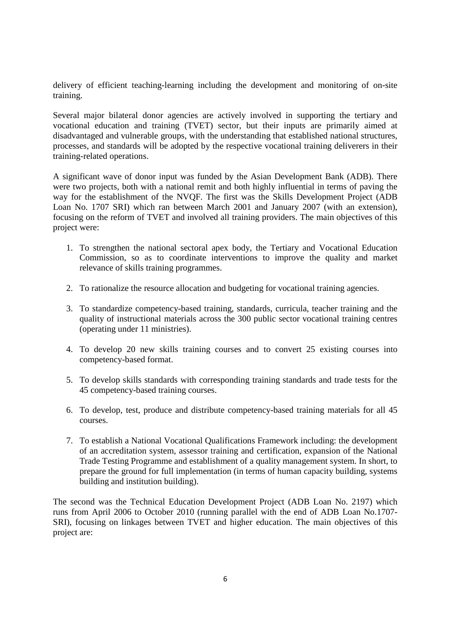delivery of efficient teaching-learning including the development and monitoring of on-site training.

Several major bilateral donor agencies are actively involved in supporting the tertiary and vocational education and training (TVET) sector, but their inputs are primarily aimed at disadvantaged and vulnerable groups, with the understanding that established national structures, processes, and standards will be adopted by the respective vocational training deliverers in their training-related operations.

A significant wave of donor input was funded by the Asian Development Bank (ADB). There were two projects, both with a national remit and both highly influential in terms of paving the way for the establishment of the NVQF. The first was the Skills Development Project (ADB Loan No. 1707 SRI) which ran between March 2001 and January 2007 (with an extension), focusing on the reform of TVET and involved all training providers. The main objectives of this project were:

- 1. To strengthen the national sectoral apex body, the Tertiary and Vocational Education Commission, so as to coordinate interventions to improve the quality and market relevance of skills training programmes.
- 2. To rationalize the resource allocation and budgeting for vocational training agencies.
- 3. To standardize competency-based training, standards, curricula, teacher training and the quality of instructional materials across the 300 public sector vocational training centres (operating under 11 ministries).
- 4. To develop 20 new skills training courses and to convert 25 existing courses into competency-based format.
- 5. To develop skills standards with corresponding training standards and trade tests for the 45 competency-based training courses.
- 6. To develop, test, produce and distribute competency-based training materials for all 45 courses.
- 7. To establish a National Vocational Qualifications Framework including: the development of an accreditation system, assessor training and certification, expansion of the National Trade Testing Programme and establishment of a quality management system. In short, to prepare the ground for full implementation (in terms of human capacity building, systems building and institution building).

The second was the Technical Education Development Project (ADB Loan No. 2197) which runs from April 2006 to October 2010 (running parallel with the end of ADB Loan No.1707- SRI), focusing on linkages between TVET and higher education. The main objectives of this project are: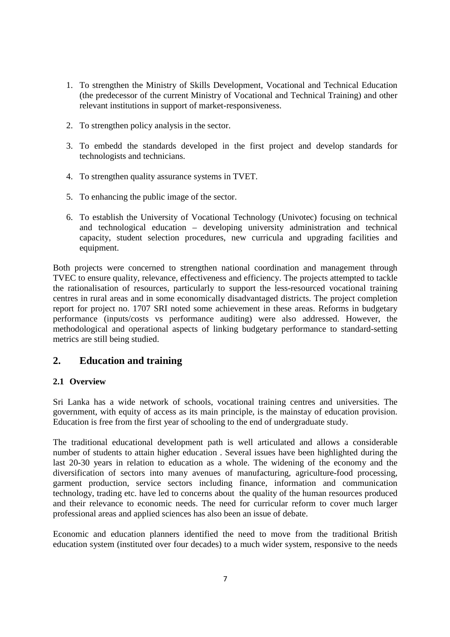- 1. To strengthen the Ministry of Skills Development, Vocational and Technical Education (the predecessor of the current Ministry of Vocational and Technical Training) and other relevant institutions in support of market-responsiveness.
- 2. To strengthen policy analysis in the sector.
- 3. To embedd the standards developed in the first project and develop standards for technologists and technicians.
- 4. To strengthen quality assurance systems in TVET.
- 5. To enhancing the public image of the sector.
- 6. To establish the University of Vocational Technology (Univotec) focusing on technical and technological education – developing university administration and technical capacity, student selection procedures, new curricula and upgrading facilities and equipment.

Both projects were concerned to strengthen national coordination and management through TVEC to ensure quality, relevance, effectiveness and efficiency. The projects attempted to tackle the rationalisation of resources, particularly to support the less-resourced vocational training centres in rural areas and in some economically disadvantaged districts. The project completion report for project no. 1707 SRI noted some achievement in these areas. Reforms in budgetary performance (inputs/costs vs performance auditing) were also addressed. However, the methodological and operational aspects of linking budgetary performance to standard-setting metrics are still being studied.

## **2. Education and training**

#### **2.1 Overview**

Sri Lanka has a wide network of schools, vocational training centres and universities. The government, with equity of access as its main principle, is the mainstay of education provision. Education is free from the first year of schooling to the end of undergraduate study.

The traditional educational development path is well articulated and allows a considerable number of students to attain higher education . Several issues have been highlighted during the last 20-30 years in relation to education as a whole. The widening of the economy and the diversification of sectors into many avenues of manufacturing, agriculture-food processing, garment production, service sectors including finance, information and communication technology, trading etc. have led to concerns about the quality of the human resources produced and their relevance to economic needs. The need for curricular reform to cover much larger professional areas and applied sciences has also been an issue of debate.

Economic and education planners identified the need to move from the traditional British education system (instituted over four decades) to a much wider system, responsive to the needs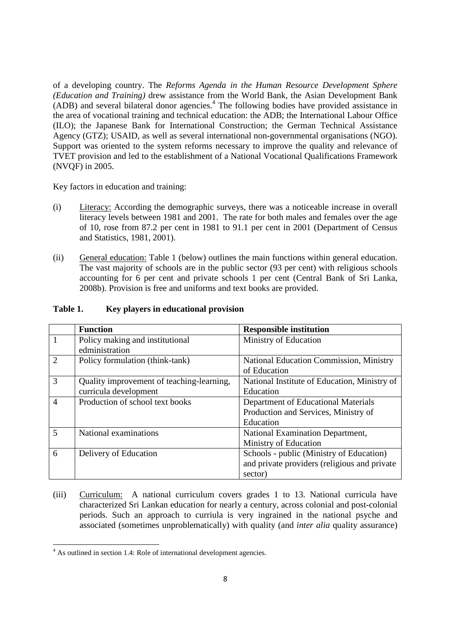of a developing country. The *Reforms Agenda in the Human Resource Development Sphere (Education and Training)* drew assistance from the World Bank, the Asian Development Bank (ADB) and several bilateral donor agencies.<sup>4</sup> The following bodies have provided assistance in the area of vocational training and technical education: the ADB; the International Labour Office (ILO); the Japanese Bank for International Construction; the German Technical Assistance Agency (GTZ); USAID, as well as several international non-governmental organisations (NGO). Support was oriented to the system reforms necessary to improve the quality and relevance of TVET provision and led to the establishment of a National Vocational Qualifications Framework (NVQF) in 2005.

Key factors in education and training:

- (i) Literacy: According the demographic surveys, there was a noticeable increase in overall literacy levels between 1981 and 2001. The rate for both males and females over the age of 10, rose from 87.2 per cent in 1981 to 91.1 per cent in 2001 (Department of Census and Statistics, 1981, 2001).
- (ii) General education: Table 1 (below) outlines the main functions within general education. The vast majority of schools are in the public sector (93 per cent) with religious schools accounting for 6 per cent and private schools 1 per cent (Central Bank of Sri Lanka, 2008b). Provision is free and uniforms and text books are provided.

|                             | <b>Function</b>                           | <b>Responsible institution</b>               |
|-----------------------------|-------------------------------------------|----------------------------------------------|
|                             | Policy making and institutional           | Ministry of Education                        |
|                             | edministration                            |                                              |
| $\mathcal{D}_{\mathcal{A}}$ | Policy formulation (think-tank)           | National Education Commission, Ministry      |
|                             |                                           | of Education                                 |
| 3                           | Quality improvement of teaching-learning, | National Institute of Education, Ministry of |
|                             | curricula development                     | Education                                    |
| $\overline{4}$              | Production of school text books           | Department of Educational Materials          |
|                             |                                           | Production and Services, Ministry of         |
|                             |                                           | Education                                    |
| 5                           | National examinations                     | National Examination Department,             |
|                             |                                           | Ministry of Education                        |
| 6                           | Delivery of Education                     | Schools - public (Ministry of Education)     |
|                             |                                           | and private providers (religious and private |
|                             |                                           | sector)                                      |

#### **Table 1. Key players in educational provision**

(iii) Curriculum: A national curriculum covers grades 1 to 13. National curricula have characterized Sri Lankan education for nearly a century, across colonial and post-colonial periods. Such an approach to curriula is very ingrained in the national psyche and associated (sometimes unproblematically) with quality (and *inter alia* quality assurance)

<u>.</u>

<sup>&</sup>lt;sup>4</sup> As outlined in section 1.4: Role of international development agencies.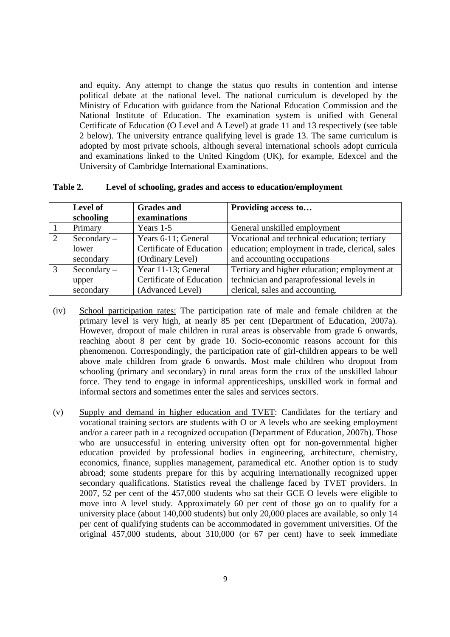and equity. Any attempt to change the status quo results in contention and intense political debate at the national level. The national curriculum is developed by the Ministry of Education with guidance from the National Education Commission and the National Institute of Education. The examination system is unified with General Certificate of Education (O Level and A Level) at grade 11 and 13 respectively (see table 2 below). The university entrance qualifying level is grade 13. The same curriculum is adopted by most private schools, although several international schools adopt curricula and examinations linked to the United Kingdom (UK), for example, Edexcel and the University of Cambridge International Examinations.

|   | Level of    | <b>Grades and</b>               | Providing access to                             |
|---|-------------|---------------------------------|-------------------------------------------------|
|   | schooling   | examinations                    |                                                 |
|   | Primary     | Years $1-5$                     | General unskilled employment                    |
| 2 | Secondary – | Years 6-11; General             | Vocational and technical education; tertiary    |
|   | lower       | <b>Certificate of Education</b> | education; employment in trade, clerical, sales |
|   | secondary   | (Ordinary Level)                | and accounting occupations                      |
| 3 | Secondary – | Year 11-13; General             | Tertiary and higher education; employment at    |
|   | upper       | <b>Certificate of Education</b> | technician and paraprofessional levels in       |
|   | secondary   | (Advanced Level)                | clerical, sales and accounting.                 |

| Table 2. | Level of schooling, grades and access to education/employment |  |
|----------|---------------------------------------------------------------|--|
|          |                                                               |  |

- (iv) School participation rates: The participation rate of male and female children at the primary level is very high, at nearly 85 per cent (Department of Education, 2007a)*.*  However, dropout of male children in rural areas is observable from grade 6 onwards, reaching about 8 per cent by grade 10. Socio-economic reasons account for this phenomenon. Correspondingly, the participation rate of girl-children appears to be well above male children from grade 6 onwards. Most male children who dropout from schooling (primary and secondary) in rural areas form the crux of the unskilled labour force. They tend to engage in informal apprenticeships, unskilled work in formal and informal sectors and sometimes enter the sales and services sectors.
- (v) Supply and demand in higher education and TVET: Candidates for the tertiary and vocational training sectors are students with O or A levels who are seeking employment and/or a career path in a recognized occupation (Department of Education, 2007b). Those who are unsuccessful in entering university often opt for non-governmental higher education provided by professional bodies in engineering, architecture, chemistry, economics, finance, supplies management, paramedical etc. Another option is to study abroad; some students prepare for this by acquiring internationally recognized upper secondary qualifications. Statistics reveal the challenge faced by TVET providers. In 2007, 52 per cent of the 457,000 students who sat their GCE O levels were eligible to move into A level study. Approximately 60 per cent of those go on to qualify for a university place (about 140,000 students) but only 20,000 places are available, so only 14 per cent of qualifying students can be accommodated in government universities. Of the original 457,000 students, about 310,000 (or 67 per cent) have to seek immediate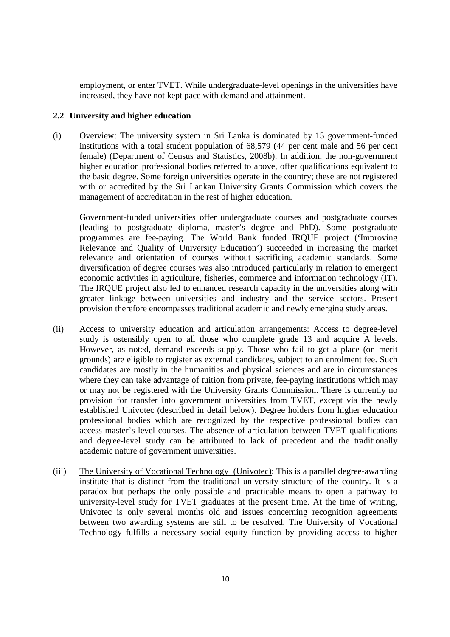employment, or enter TVET. While undergraduate-level openings in the universities have increased, they have not kept pace with demand and attainment.

#### **2.2 University and higher education**

(i) Overview: The university system in Sri Lanka is dominated by 15 government-funded institutions with a total student population of 68,579 (44 per cent male and 56 per cent female) (Department of Census and Statistics, 2008b). In addition, the non-government higher education professional bodies referred to above, offer qualifications equivalent to the basic degree. Some foreign universities operate in the country; these are not registered with or accredited by the Sri Lankan University Grants Commission which covers the management of accreditation in the rest of higher education.

Government-funded universities offer undergraduate courses and postgraduate courses (leading to postgraduate diploma, master's degree and PhD). Some postgraduate programmes are fee-paying. The World Bank funded IRQUE project ('Improving Relevance and Quality of University Education') succeeded in increasing the market relevance and orientation of courses without sacrificing academic standards. Some diversification of degree courses was also introduced particularly in relation to emergent economic activities in agriculture, fisheries, commerce and information technology (IT). The IRQUE project also led to enhanced research capacity in the universities along with greater linkage between universities and industry and the service sectors. Present provision therefore encompasses traditional academic and newly emerging study areas.

- (ii) Access to university education and articulation arrangements: Access to degree-level study is ostensibly open to all those who complete grade 13 and acquire A levels. However, as noted, demand exceeds supply. Those who fail to get a place (on merit grounds) are eligible to register as external candidates, subject to an enrolment fee. Such candidates are mostly in the humanities and physical sciences and are in circumstances where they can take advantage of tuition from private, fee-paying institutions which may or may not be registered with the University Grants Commission. There is currently no provision for transfer into government universities from TVET, except via the newly established Univotec (described in detail below). Degree holders from higher education professional bodies which are recognized by the respective professional bodies can access master's level courses. The absence of articulation between TVET qualifications and degree-level study can be attributed to lack of precedent and the traditionally academic nature of government universities.
- (iii) The University of Vocational Technology (Univotec): This is a parallel degree-awarding institute that is distinct from the traditional university structure of the country. It is a paradox but perhaps the only possible and practicable means to open a pathway to university-level study for TVET graduates at the present time. At the time of writing, Univotec is only several months old and issues concerning recognition agreements between two awarding systems are still to be resolved. The University of Vocational Technology fulfills a necessary social equity function by providing access to higher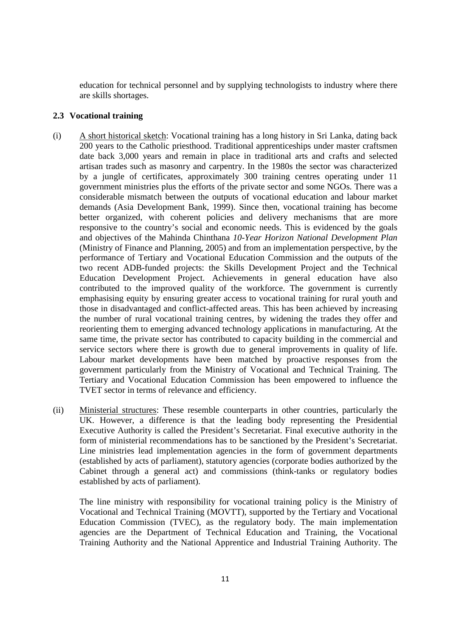education for technical personnel and by supplying technologists to industry where there are skills shortages.

#### **2.3 Vocational training**

- (i) A short historical sketch: Vocational training has a long history in Sri Lanka, dating back 200 years to the Catholic priesthood. Traditional apprenticeships under master craftsmen date back 3,000 years and remain in place in traditional arts and crafts and selected artisan trades such as masonry and carpentry. In the 1980s the sector was characterized by a jungle of certificates, approximately 300 training centres operating under 11 government ministries plus the efforts of the private sector and some NGOs. There was a considerable mismatch between the outputs of vocational education and labour market demands (Asia Development Bank, 1999). Since then, vocational training has become better organized, with coherent policies and delivery mechanisms that are more responsive to the country's social and economic needs. This is evidenced by the goals and objectives of the Mahinda Chinthana *10-Year Horizon National Development Plan* (Ministry of Finance and Planning, 2005) and from an implementation perspective, by the performance of Tertiary and Vocational Education Commission and the outputs of the two recent ADB-funded projects: the Skills Development Project and the Technical Education Development Project. Achievements in general education have also contributed to the improved quality of the workforce. The government is currently emphasising equity by ensuring greater access to vocational training for rural youth and those in disadvantaged and conflict-affected areas. This has been achieved by increasing the number of rural vocational training centres, by widening the trades they offer and reorienting them to emerging advanced technology applications in manufacturing. At the same time, the private sector has contributed to capacity building in the commercial and service sectors where there is growth due to general improvements in quality of life. Labour market developments have been matched by proactive responses from the government particularly from the Ministry of Vocational and Technical Training. The Tertiary and Vocational Education Commission has been empowered to influence the TVET sector in terms of relevance and efficiency.
- (ii) Ministerial structures: These resemble counterparts in other countries, particularly the UK. However, a difference is that the leading body representing the Presidential Executive Authority is called the President's Secretariat. Final executive authority in the form of ministerial recommendations has to be sanctioned by the President's Secretariat. Line ministries lead implementation agencies in the form of government departments (established by acts of parliament), statutory agencies (corporate bodies authorized by the Cabinet through a general act) and commissions (think-tanks or regulatory bodies established by acts of parliament).

 The line ministry with responsibility for vocational training policy is the Ministry of Vocational and Technical Training (MOVTT), supported by the Tertiary and Vocational Education Commission (TVEC), as the regulatory body. The main implementation agencies are the Department of Technical Education and Training, the Vocational Training Authority and the National Apprentice and Industrial Training Authority. The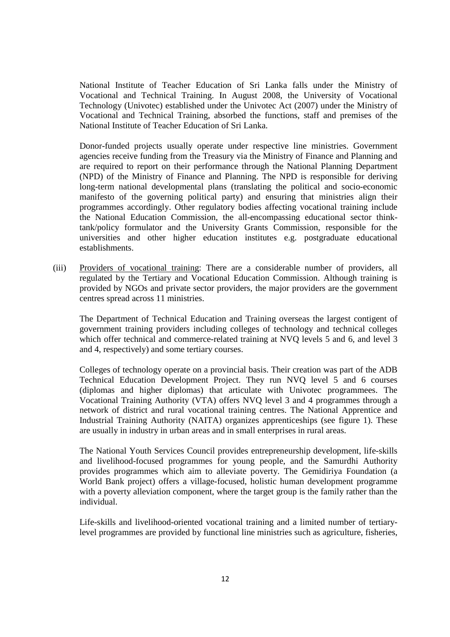National Institute of Teacher Education of Sri Lanka falls under the Ministry of Vocational and Technical Training. In August 2008, the University of Vocational Technology (Univotec) established under the Univotec Act (2007) under the Ministry of Vocational and Technical Training, absorbed the functions, staff and premises of the National Institute of Teacher Education of Sri Lanka.

 Donor-funded projects usually operate under respective line ministries. Government agencies receive funding from the Treasury via the Ministry of Finance and Planning and are required to report on their performance through the National Planning Department (NPD) of the Ministry of Finance and Planning. The NPD is responsible for deriving long-term national developmental plans (translating the political and socio-economic manifesto of the governing political party) and ensuring that ministries align their programmes accordingly. Other regulatory bodies affecting vocational training include the National Education Commission, the all-encompassing educational sector thinktank/policy formulator and the University Grants Commission, responsible for the universities and other higher education institutes e.g. postgraduate educational establishments.

(iii) Providers of vocational training: There are a considerable number of providers, all regulated by the Tertiary and Vocational Education Commission. Although training is provided by NGOs and private sector providers, the major providers are the government centres spread across 11 ministries.

The Department of Technical Education and Training overseas the largest contigent of government training providers including colleges of technology and technical colleges which offer technical and commerce-related training at NVO levels 5 and 6, and level 3 and 4, respectively) and some tertiary courses.

Colleges of technology operate on a provincial basis. Their creation was part of the ADB Technical Education Development Project. They run NVQ level 5 and 6 courses (diplomas and higher diplomas) that articulate with Univotec programmees. The Vocational Training Authority (VTA) offers NVQ level 3 and 4 programmes through a network of district and rural vocational training centres. The National Apprentice and Industrial Training Authority (NAITA) organizes apprenticeships (see figure 1). These are usually in industry in urban areas and in small enterprises in rural areas.

The National Youth Services Council provides entrepreneurship development, life-skills and livelihood-focused programmes for young people, and the Samurdhi Authority provides programmes which aim to alleviate poverty. The Gemidiriya Foundation (a World Bank project) offers a village-focused, holistic human development programme with a poverty alleviation component, where the target group is the family rather than the individual.

Life-skills and livelihood-oriented vocational training and a limited number of tertiarylevel programmes are provided by functional line ministries such as agriculture, fisheries,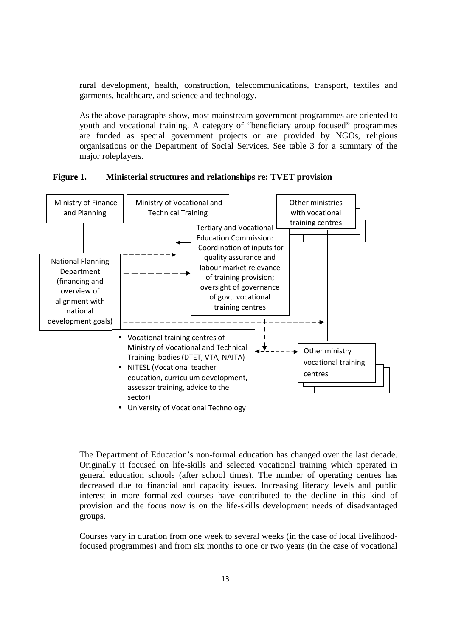rural development, health, construction, telecommunications, transport, textiles and garments, healthcare, and science and technology.

As the above paragraphs show, most mainstream government programmes are oriented to youth and vocational training. A category of "beneficiary group focused" programmes are funded as special government projects or are provided by NGOs, religious organisations or the Department of Social Services. See table 3 for a summary of the major roleplayers.

#### **Figure 1. Ministerial structures and relationships re: TVET provision**



The Department of Education's non-formal education has changed over the last decade. Originally it focused on life-skills and selected vocational training which operated in general education schools (after school times). The number of operating centres has decreased due to financial and capacity issues. Increasing literacy levels and public interest in more formalized courses have contributed to the decline in this kind of provision and the focus now is on the life-skills development needs of disadvantaged groups.

Courses vary in duration from one week to several weeks (in the case of local livelihoodfocused programmes) and from six months to one or two years (in the case of vocational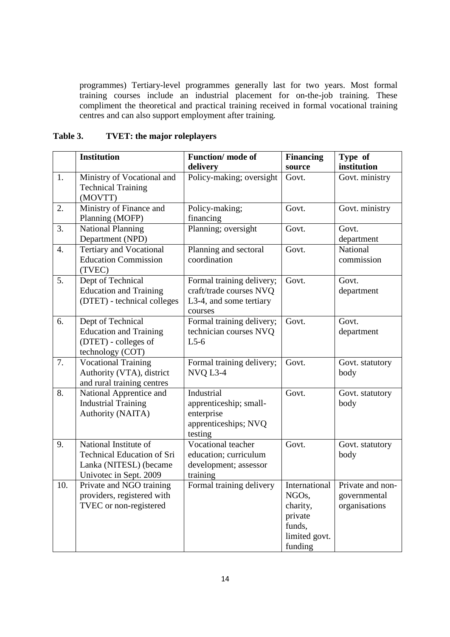programmes) Tertiary-level programmes generally last for two years. Most formal training courses include an industrial placement for on-the-job training. These compliment the theoretical and practical training received in formal vocational training centres and can also support employment after training.

## **Table 3. TVET: the major roleplayers**

|                  | <b>Institution</b>                                                                                             | Function/mode of<br>delivery                                                               | <b>Financing</b><br>source                                                          | Type of<br>institution                            |
|------------------|----------------------------------------------------------------------------------------------------------------|--------------------------------------------------------------------------------------------|-------------------------------------------------------------------------------------|---------------------------------------------------|
| 1.               | Ministry of Vocational and<br><b>Technical Training</b><br>(MOVTT)                                             | Policy-making; oversight                                                                   | Govt.                                                                               | Govt. ministry                                    |
| 2.               | Ministry of Finance and<br>Planning (MOFP)                                                                     | Policy-making;<br>financing                                                                | Govt.                                                                               | Govt. ministry                                    |
| 3.               | <b>National Planning</b><br>Department (NPD)                                                                   | Planning; oversight                                                                        | Govt.                                                                               | Govt.<br>department                               |
| $\overline{4}$ . | Tertiary and Vocational<br><b>Education Commission</b><br>(TVEC)                                               | Planning and sectoral<br>coordination                                                      | Govt.                                                                               | National<br>commission                            |
| 5.               | Dept of Technical<br><b>Education and Training</b><br>(DTET) - technical colleges                              | Formal training delivery;<br>craft/trade courses NVQ<br>L3-4, and some tertiary<br>courses | Govt.                                                                               | Govt.<br>department                               |
| 6.               | Dept of Technical<br><b>Education and Training</b><br>(DTET) - colleges of<br>technology (COT)                 | Formal training delivery;<br>technician courses NVQ<br>$L5-6$                              | Govt.                                                                               | Govt.<br>department                               |
| 7.               | <b>Vocational Training</b><br>Authority (VTA), district<br>and rural training centres                          | Formal training delivery;<br>NVQ L3-4                                                      | Govt.                                                                               | Govt. statutory<br>body                           |
| 8.               | National Apprentice and<br><b>Industrial Training</b><br>Authority (NAITA)                                     | Industrial<br>apprenticeship; small-<br>enterprise<br>apprenticeships; NVQ<br>testing      | Govt.                                                                               | Govt. statutory<br>body                           |
| 9.               | National Institute of<br><b>Technical Education of Sri</b><br>Lanka (NITESL) (became<br>Univotec in Sept. 2009 | Vocational teacher<br>education; curriculum<br>development; assessor<br>training           | Govt.                                                                               | Govt. statutory<br>body                           |
| 10.              | Private and NGO training<br>providers, registered with<br>TVEC or non-registered                               | Formal training delivery                                                                   | International<br>NGOs,<br>charity,<br>private<br>funds,<br>limited govt.<br>funding | Private and non-<br>governmental<br>organisations |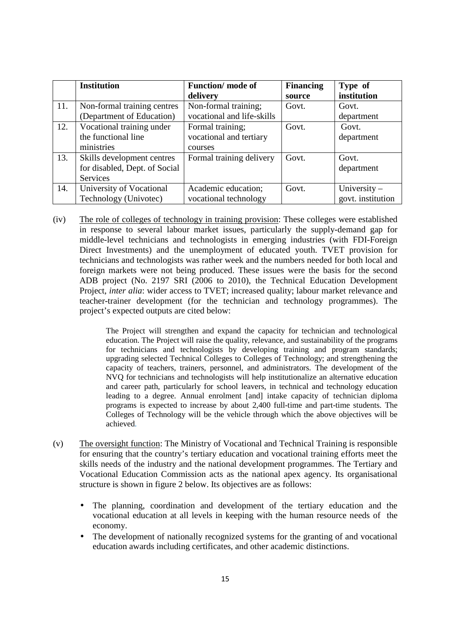|     | <b>Institution</b>            | <b>Function/</b> mode of   | <b>Financing</b> | Type of           |
|-----|-------------------------------|----------------------------|------------------|-------------------|
|     |                               | delivery                   | source           | institution       |
| 11. | Non-formal training centres   | Non-formal training;       | Govt.            | Govt.             |
|     | (Department of Education)     | vocational and life-skills |                  | department        |
| 12. | Vocational training under     | Formal training;           | Govt.            | Govt.             |
|     | the functional line           | vocational and tertiary    |                  | department        |
|     | ministries                    | courses                    |                  |                   |
| 13. | Skills development centres    | Formal training delivery   | Govt.            | Govt.             |
|     | for disabled, Dept. of Social |                            |                  | department        |
|     | Services                      |                            |                  |                   |
| 14. | University of Vocational      | Academic education;        | Govt.            | University $-$    |
|     | Technology (Univotec)         | vocational technology      |                  | govt. institution |

(iv) The role of colleges of technology in training provision: These colleges were established in response to several labour market issues, particularly the supply-demand gap for middle-level technicians and technologists in emerging industries (with FDI-Foreign Direct Investments) and the unemployment of educated youth. TVET provision for technicians and technologists was rather week and the numbers needed for both local and foreign markets were not being produced. These issues were the basis for the second ADB project (No. 2197 SRI (2006 to 2010), the Technical Education Development Project, *inter alia*: wider access to TVET; increased quality; labour market relevance and teacher-trainer development (for the technician and technology programmes). The project's expected outputs are cited below:

> The Project will strengthen and expand the capacity for technician and technological education. The Project will raise the quality, relevance, and sustainability of the programs for technicians and technologists by developing training and program standards; upgrading selected Technical Colleges to Colleges of Technology; and strengthening the capacity of teachers, trainers, personnel, and administrators. The development of the NVQ for technicians and technologists will help institutionalize an alternative education and career path, particularly for school leavers, in technical and technology education leading to a degree. Annual enrolment [and] intake capacity of technician diploma programs is expected to increase by about 2,400 full-time and part-time students. The Colleges of Technology will be the vehicle through which the above objectives will be achieved.

- (v) The oversight function: The Ministry of Vocational and Technical Training is responsible for ensuring that the country's tertiary education and vocational training efforts meet the skills needs of the industry and the national development programmes. The Tertiary and Vocational Education Commission acts as the national apex agency. Its organisational structure is shown in figure 2 below. Its objectives are as follows:
	- The planning, coordination and development of the tertiary education and the vocational education at all levels in keeping with the human resource needs of the economy.
	- The development of nationally recognized systems for the granting of and vocational education awards including certificates, and other academic distinctions.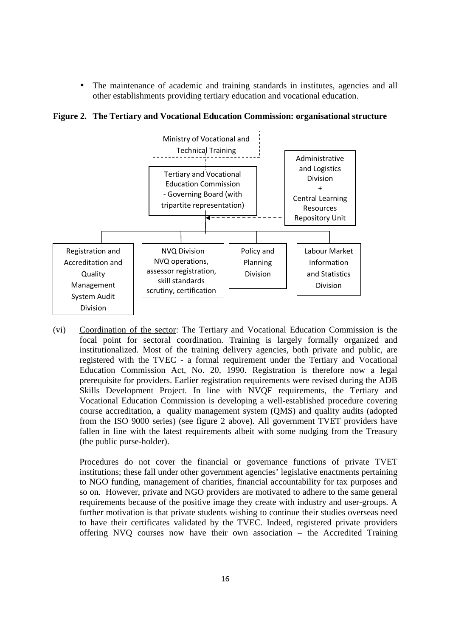The maintenance of academic and training standards in institutes, agencies and all other establishments providing tertiary education and vocational education.

**Figure 2. The Tertiary and Vocational Education Commission: organisational structure** 



(vi) Coordination of the sector: The Tertiary and Vocational Education Commission is the focal point for sectoral coordination. Training is largely formally organized and institutionalized. Most of the training delivery agencies, both private and public, are registered with the TVEC - a formal requirement under the Tertiary and Vocational Education Commission Act, No. 20, 1990. Registration is therefore now a legal prerequisite for providers. Earlier registration requirements were revised during the ADB Skills Development Project. In line with NVQF requirements, the Tertiary and Vocational Education Commission is developing a well-established procedure covering course accreditation, a quality management system (QMS) and quality audits (adopted from the ISO 9000 series) (see figure 2 above). All government TVET providers have fallen in line with the latest requirements albeit with some nudging from the Treasury (the public purse-holder).

Procedures do not cover the financial or governance functions of private TVET institutions; these fall under other government agencies' legislative enactments pertaining to NGO funding, management of charities, financial accountability for tax purposes and so on. However, private and NGO providers are motivated to adhere to the same general requirements because of the positive image they create with industry and user-groups. A further motivation is that private students wishing to continue their studies overseas need to have their certificates validated by the TVEC. Indeed, registered private providers offering NVQ courses now have their own association – the Accredited Training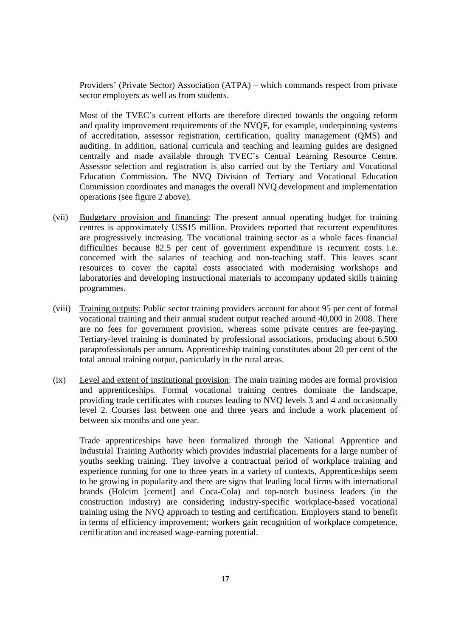Providers' (Private Sector) Association (ATPA) – which commands respect from private sector employers as well as from students.

Most of the TVEC's current efforts are therefore directed towards the ongoing reform and quality improvement requirements of the NVQF, for example, underpinning systems of accreditation, assessor registration, certification, quality management (QMS) and auditing. In addition, national curricula and teaching and learning guides are designed centrally and made available through TVEC's Central Learning Resource Centre. Assessor selection and registration is also carried out by the Tertiary and Vocational Education Commission. The NVQ Division of Tertiary and Vocational Education Commission coordinates and manages the overall NVQ development and implementation operations (see figure 2 above).

- (vii) Budgetary provision and financing: The present annual operating budget for training centres is approximately US\$15 million. Providers reported that recurrent expenditures are progressively increasing. The vocational training sector as a whole faces financial difficulties because 82.5 per cent of government expenditure is recurrent costs i.e. concerned with the salaries of teaching and non-teaching staff. This leaves scant resources to cover the capital costs associated with modernising workshops and laboratories and developing instructional materials to accompany updated skills training programmes.
- (viii) Training outputs: Public sector training providers account for about 95 per cent of formal vocational training and their annual student output reached around 40,000 in 2008. There are no fees for government provision, whereas some private centres are fee-paying. Tertiary-level training is dominated by professional associations, producing about 6,500 paraprofessionals per annum. Apprenticeship training constitutes about 20 per cent of the total annual training output, particularly in the rural areas.
- (ix) Level and extent of institutional provision: The main training modes are formal provision and apprenticeships. Formal vocational training centres dominate the landscape, providing trade certificates with courses leading to NVQ levels 3 and 4 and occasionally level 2. Courses last between one and three years and include a work placement of between six months and one year.

Trade apprenticeships have been formalized through the National Apprentice and Industrial Training Authority which provides industrial placements for a large number of youths seeking training. They involve a contractual period of workplace training and experience running for one to three years in a variety of contexts, Apprenticeships seem to be growing in popularity and there are signs that leading local firms with international brands (Holcim [cement] and Coca-Cola) and top-notch business leaders (in the construction industry) are considering industry-specific workplace-based vocational training using the NVQ approach to testing and certification. Employers stand to benefit in terms of efficiency improvement; workers gain recognition of workplace competence, certification and increased wage-earning potential.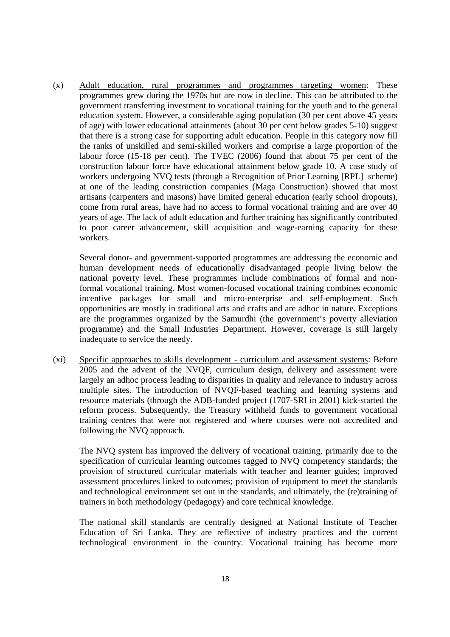(x) Adult education, rural programmes and programmes targeting women: These programmes grew during the 1970s but are now in decline. This can be attributed to the government transferring investment to vocational training for the youth and to the general education system. However, a considerable aging population (30 per cent above 45 years of age) with lower educational attainments (about 30 per cent below grades 5-10) suggest that there is a strong case for supporting adult education. People in this category now fill the ranks of unskilled and semi-skilled workers and comprise a large proportion of the labour force (15-18 per cent). The TVEC (2006) found that about 75 per cent of the construction labour force have educational attainment below grade 10. A case study of workers undergoing NVQ tests (through a Recognition of Prior Learning [RPL] scheme) at one of the leading construction companies (Maga Construction) showed that most artisans (carpenters and masons) have limited general education (early school dropouts), come from rural areas, have had no access to formal vocational training and are over 40 years of age. The lack of adult education and further training has significantly contributed to poor career advancement, skill acquisition and wage-earning capacity for these workers.

Several donor- and government-supported programmes are addressing the economic and human development needs of educationally disadvantaged people living below the national poverty level. These programmes include combinations of formal and nonformal vocational training. Most women-focused vocational training combines economic incentive packages for small and micro-enterprise and self-employment. Such opportunities are mostly in traditional arts and crafts and are adhoc in nature. Exceptions are the programmes organized by the Samurdhi (the government's poverty alleviation programme) and the Small Industries Department. However, coverage is still largely inadequate to service the needy.

(xi) Specific approaches to skills development - curriculum and assessment systems: Before 2005 and the advent of the NVQF, curriculum design, delivery and assessment were largely an adhoc process leading to disparities in quality and relevance to industry across multiple sites. The introduction of NVQF-based teaching and learning systems and resource materials (through the ADB-funded project (1707-SRI in 2001) kick-started the reform process. Subsequently, the Treasury withheld funds to government vocational training centres that were not registered and where courses were not accredited and following the NVQ approach.

The NVQ system has improved the delivery of vocational training, primarily due to the specification of curricular learning outcomes tagged to NVQ competency standards; the provision of structured curricular materials with teacher and learner guides; improved assessment procedures linked to outcomes; provision of equipment to meet the standards and technological environment set out in the standards, and ultimately, the (re)training of trainers in both methodology (pedagogy) and core technical knowledge.

The national skill standards are centrally designed at National Institute of Teacher Education of Sri Lanka. They are reflective of industry practices and the current technological environment in the country. Vocational training has become more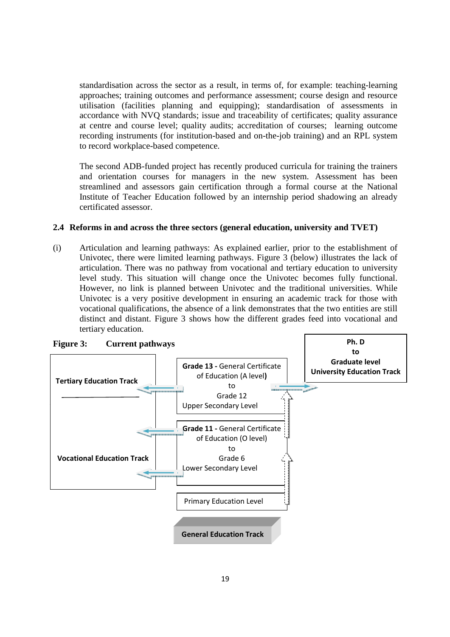standardisation across the sector as a result, in terms of, for example: teaching-learning approaches; training outcomes and performance assessment; course design and resource utilisation (facilities planning and equipping); standardisation of assessments in accordance with NVQ standards; issue and traceability of certificates; quality assurance at centre and course level; quality audits; accreditation of courses; learning outcome recording instruments (for institution-based and on-the-job training) and an RPL system to record workplace-based competence.

The second ADB-funded project has recently produced curricula for training the trainers and orientation courses for managers in the new system. Assessment has been streamlined and assessors gain certification through a formal course at the National Institute of Teacher Education followed by an internship period shadowing an already certificated assessor.

#### **2.4 Reforms in and across the three sectors (general education, university and TVET)**

(i) Articulation and learning pathways: As explained earlier, prior to the establishment of Univotec, there were limited learning pathways. Figure 3 (below) illustrates the lack of articulation. There was no pathway from vocational and tertiary education to university level study. This situation will change once the Univotec becomes fully functional. However, no link is planned between Univotec and the traditional universities. While Univotec is a very positive development in ensuring an academic track for those with vocational qualifications, the absence of a link demonstrates that the two entities are still distinct and distant. Figure 3 shows how the different grades feed into vocational and tertiary education.

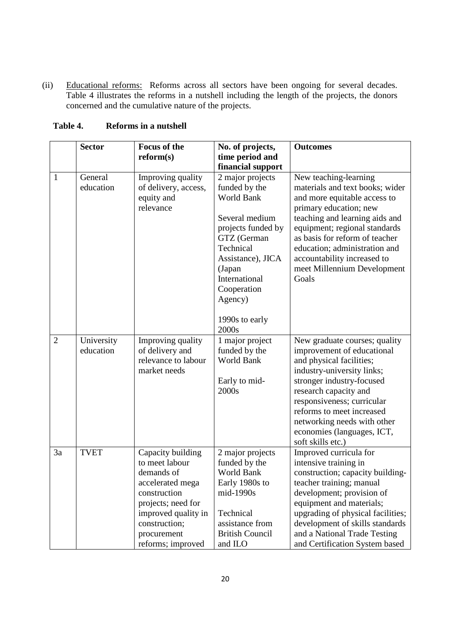(ii) Educational reforms: Reforms across all sectors have been ongoing for several decades. Table 4 illustrates the reforms in a nutshell including the length of the projects, the donors concerned and the cumulative nature of the projects.

|                | <b>Sector</b>           | <b>Focus of the</b>                                                                                                                                                                     | No. of projects,                                                                                                                                                                                                                | <b>Outcomes</b>                                                                                                                                                                                                                                                                                                                 |
|----------------|-------------------------|-----------------------------------------------------------------------------------------------------------------------------------------------------------------------------------------|---------------------------------------------------------------------------------------------------------------------------------------------------------------------------------------------------------------------------------|---------------------------------------------------------------------------------------------------------------------------------------------------------------------------------------------------------------------------------------------------------------------------------------------------------------------------------|
|                |                         | reform(s)                                                                                                                                                                               | time period and                                                                                                                                                                                                                 |                                                                                                                                                                                                                                                                                                                                 |
|                |                         |                                                                                                                                                                                         | financial support                                                                                                                                                                                                               |                                                                                                                                                                                                                                                                                                                                 |
| $\mathbf{1}$   | General<br>education    | Improving quality<br>of delivery, access,<br>equity and<br>relevance                                                                                                                    | 2 major projects<br>funded by the<br><b>World Bank</b><br>Several medium<br>projects funded by<br>GTZ (German<br>Technical<br>Assistance), JICA<br>(Japan<br>International<br>Cooperation<br>Agency)<br>1990s to early<br>2000s | New teaching-learning<br>materials and text books; wider<br>and more equitable access to<br>primary education; new<br>teaching and learning aids and<br>equipment; regional standards<br>as basis for reform of teacher<br>education; administration and<br>accountability increased to<br>meet Millennium Development<br>Goals |
| $\overline{2}$ | University<br>education | Improving quality<br>of delivery and<br>relevance to labour<br>market needs                                                                                                             | 1 major project<br>funded by the<br><b>World Bank</b><br>Early to mid-<br>2000s                                                                                                                                                 | New graduate courses; quality<br>improvement of educational<br>and physical facilities;<br>industry-university links;<br>stronger industry-focused<br>research capacity and<br>responsiveness; curricular<br>reforms to meet increased<br>networking needs with other<br>economies (languages, ICT,<br>soft skills etc.)        |
| 3a             | <b>TVET</b>             | Capacity building<br>to meet labour<br>demands of<br>accelerated mega<br>construction<br>projects; need for<br>improved quality in<br>construction;<br>procurement<br>reforms; improved | 2 major projects<br>funded by the<br><b>World Bank</b><br>Early 1980s to<br>mid-1990s<br>Technical<br>assistance from<br><b>British Council</b><br>and ILO                                                                      | Improved curricula for<br>intensive training in<br>construction; capacity building-<br>teacher training; manual<br>development; provision of<br>equipment and materials;<br>upgrading of physical facilities;<br>development of skills standards<br>and a National Trade Testing<br>and Certification System based              |

**Table 4. Reforms in a nutshell**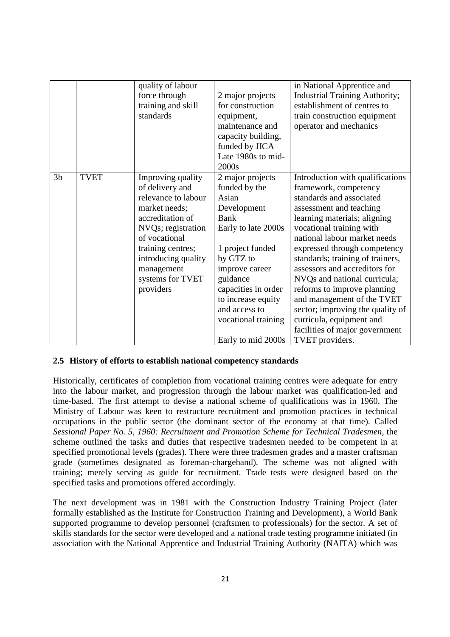|                |             | quality of labour<br>force through<br>training and skill | 2 major projects<br>for construction | in National Apprentice and<br><b>Industrial Training Authority;</b><br>establishment of centres to |
|----------------|-------------|----------------------------------------------------------|--------------------------------------|----------------------------------------------------------------------------------------------------|
|                |             | standards                                                | equipment,<br>maintenance and        | train construction equipment                                                                       |
|                |             |                                                          | capacity building,                   | operator and mechanics                                                                             |
|                |             |                                                          | funded by JICA                       |                                                                                                    |
|                |             |                                                          | Late 1980s to mid-                   |                                                                                                    |
|                |             |                                                          | 2000s                                |                                                                                                    |
| 3 <sub>b</sub> | <b>TVET</b> | Improving quality                                        | 2 major projects                     | Introduction with qualifications                                                                   |
|                |             | of delivery and                                          | funded by the                        | framework, competency                                                                              |
|                |             | relevance to labour                                      | Asian                                | standards and associated                                                                           |
|                |             | market needs;                                            | Development                          | assessment and teaching                                                                            |
|                |             | accreditation of                                         | <b>Bank</b>                          | learning materials; aligning                                                                       |
|                |             | NVQs; registration                                       | Early to late 2000s                  | vocational training with                                                                           |
|                |             | of vocational                                            |                                      | national labour market needs                                                                       |
|                |             | training centres;                                        | 1 project funded                     | expressed through competency                                                                       |
|                |             | introducing quality                                      | by GTZ to                            | standards; training of trainers,                                                                   |
|                |             | management                                               | improve career                       | assessors and accreditors for                                                                      |
|                |             | systems for TVET                                         | guidance                             | NVQs and national curricula;                                                                       |
|                |             | providers                                                | capacities in order                  | reforms to improve planning                                                                        |
|                |             |                                                          | to increase equity                   | and management of the TVET                                                                         |
|                |             |                                                          | and access to                        | sector; improving the quality of                                                                   |
|                |             |                                                          | vocational training                  | curricula, equipment and                                                                           |
|                |             |                                                          |                                      | facilities of major government                                                                     |
|                |             |                                                          | Early to mid 2000s                   | TVET providers.                                                                                    |

#### **2.5 History of efforts to establish national competency standards**

Historically, certificates of completion from vocational training centres were adequate for entry into the labour market, and progression through the labour market was qualification-led and time-based. The first attempt to devise a national scheme of qualifications was in 1960. The Ministry of Labour was keen to restructure recruitment and promotion practices in technical occupations in the public sector (the dominant sector of the economy at that time). Called *Sessional Paper No. 5, 1960: Recruitment and Promotion Scheme for Technical Tradesmen*, the scheme outlined the tasks and duties that respective tradesmen needed to be competent in at specified promotional levels (grades). There were three tradesmen grades and a master craftsman grade (sometimes designated as foreman-chargehand). The scheme was not aligned with training; merely serving as guide for recruitment. Trade tests were designed based on the specified tasks and promotions offered accordingly.

The next development was in 1981 with the Construction Industry Training Project (later formally established as the Institute for Construction Training and Development), a World Bank supported programme to develop personnel (craftsmen to professionals) for the sector. A set of skills standards for the sector were developed and a national trade testing programme initiated (in association with the National Apprentice and Industrial Training Authority (NAITA) which was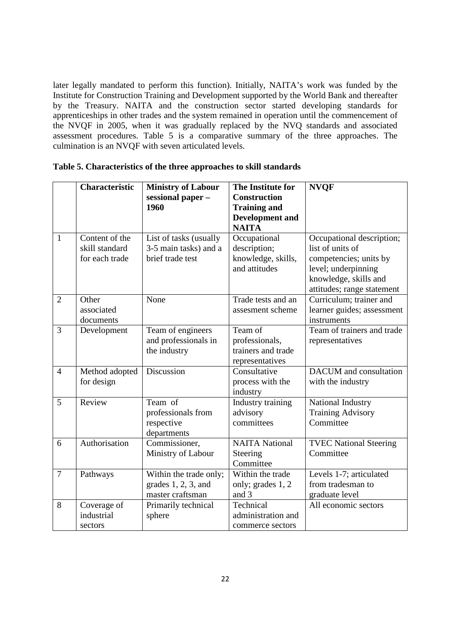later legally mandated to perform this function). Initially, NAITA's work was funded by the Institute for Construction Training and Development supported by the World Bank and thereafter by the Treasury. NAITA and the construction sector started developing standards for apprenticeships in other trades and the system remained in operation until the commencement of the NVQF in 2005, when it was gradually replaced by the NVQ standards and associated assessment procedures. Table 5 is a comparative summary of the three approaches. The culmination is an NVQF with seven articulated levels.

|                | <b>Characteristic</b>                              | <b>Ministry of Labour</b><br>sessional paper -<br>1960               | The Institute for<br><b>Construction</b><br><b>Training and</b><br><b>Development</b> and<br><b>NAITA</b> | <b>NVQF</b>                                                                                                                                           |
|----------------|----------------------------------------------------|----------------------------------------------------------------------|-----------------------------------------------------------------------------------------------------------|-------------------------------------------------------------------------------------------------------------------------------------------------------|
| $\mathbf{1}$   | Content of the<br>skill standard<br>for each trade | List of tasks (usually<br>3-5 main tasks) and a<br>brief trade test  | Occupational<br>description;<br>knowledge, skills,<br>and attitudes                                       | Occupational description;<br>list of units of<br>competencies; units by<br>level; underpinning<br>knowledge, skills and<br>attitudes; range statement |
| $\overline{2}$ | Other<br>associated<br>documents                   | None                                                                 | Trade tests and an<br>assesment scheme                                                                    | Curriculum; trainer and<br>learner guides; assessment<br>instruments                                                                                  |
| 3              | Development                                        | Team of engineers<br>and professionals in<br>the industry            | Team of<br>professionals,<br>trainers and trade<br>representatives                                        | Team of trainers and trade<br>representatives                                                                                                         |
| $\overline{4}$ | Method adopted<br>for design                       | Discussion                                                           | Consultative<br>process with the<br>industry                                                              | DACUM and consultation<br>with the industry                                                                                                           |
| 5              | Review                                             | Team of<br>professionals from<br>respective<br>departments           | Industry training<br>advisory<br>committees                                                               | National Industry<br><b>Training Advisory</b><br>Committee                                                                                            |
| 6              | Authorisation                                      | Commissioner,<br>Ministry of Labour                                  | <b>NAITA</b> National<br>Steering<br>Committee                                                            | <b>TVEC National Steering</b><br>Committee                                                                                                            |
| $\overline{7}$ | Pathways                                           | Within the trade only;<br>grades $1, 2, 3$ , and<br>master craftsman | Within the trade<br>only; grades 1, 2<br>and 3                                                            | Levels 1-7; articulated<br>from tradesman to<br>graduate level                                                                                        |
| 8              | Coverage of<br>industrial<br>sectors               | Primarily technical<br>sphere                                        | Technical<br>administration and<br>commerce sectors                                                       | All economic sectors                                                                                                                                  |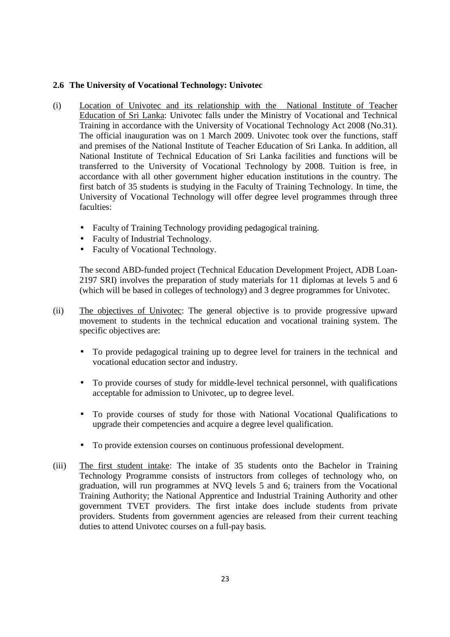## **2.6 The University of Vocational Technology: Univotec**

- (i) Location of Univotec and its relationship with the National Institute of Teacher Education of Sri Lanka: Univotec falls under the Ministry of Vocational and Technical Training in accordance with the University of Vocational Technology Act 2008 (No.31). The official inauguration was on 1 March 2009. Univotec took over the functions, staff and premises of the National Institute of Teacher Education of Sri Lanka. In addition, all National Institute of Technical Education of Sri Lanka facilities and functions will be transferred to the University of Vocational Technology by 2008. Tuition is free, in accordance with all other government higher education institutions in the country. The first batch of 35 students is studying in the Faculty of Training Technology. In time, the University of Vocational Technology will offer degree level programmes through three faculties:
	- Faculty of Training Technology providing pedagogical training.
	- Faculty of Industrial Technology.
	- Faculty of Vocational Technology.

The second ABD-funded project (Technical Education Development Project, ADB Loan-2197 SRI) involves the preparation of study materials for 11 diplomas at levels 5 and 6 (which will be based in colleges of technology) and 3 degree programmes for Univotec.

- (ii) The objectives of Univotec: The general objective is to provide progressive upward movement to students in the technical education and vocational training system. The specific objectives are:
	- To provide pedagogical training up to degree level for trainers in the technical and vocational education sector and industry.
	- To provide courses of study for middle-level technical personnel, with qualifications acceptable for admission to Univotec, up to degree level.
	- To provide courses of study for those with National Vocational Qualifications to upgrade their competencies and acquire a degree level qualification.
	- To provide extension courses on continuous professional development.
- (iii) The first student intake: The intake of 35 students onto the Bachelor in Training Technology Programme consists of instructors from colleges of technology who, on graduation, will run programmes at NVQ levels 5 and 6; trainers from the Vocational Training Authority; the National Apprentice and Industrial Training Authority and other government TVET providers. The first intake does include students from private providers. Students from government agencies are released from their current teaching duties to attend Univotec courses on a full-pay basis.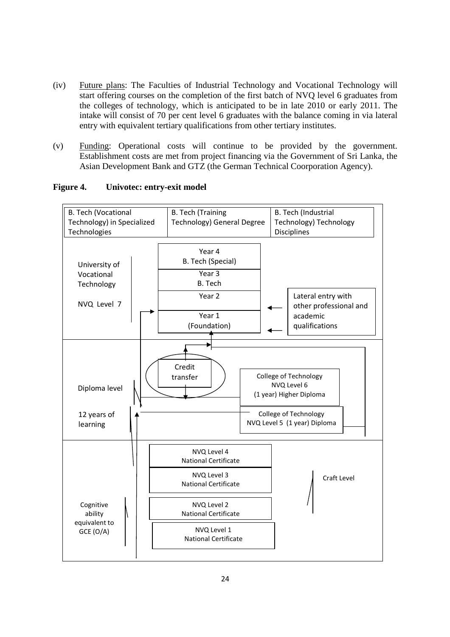- (iv) Future plans: The Faculties of Industrial Technology and Vocational Technology will start offering courses on the completion of the first batch of NVQ level 6 graduates from the colleges of technology, which is anticipated to be in late 2010 or early 2011. The intake will consist of 70 per cent level 6 graduates with the balance coming in via lateral entry with equivalent tertiary qualifications from other tertiary institutes.
- (v) Funding: Operational costs will continue to be provided by the government. Establishment costs are met from project financing via the Government of Sri Lanka, the Asian Development Bank and GTZ (the German Technical Coorporation Agency).



#### **Figure 4. Univotec: entry-exit model**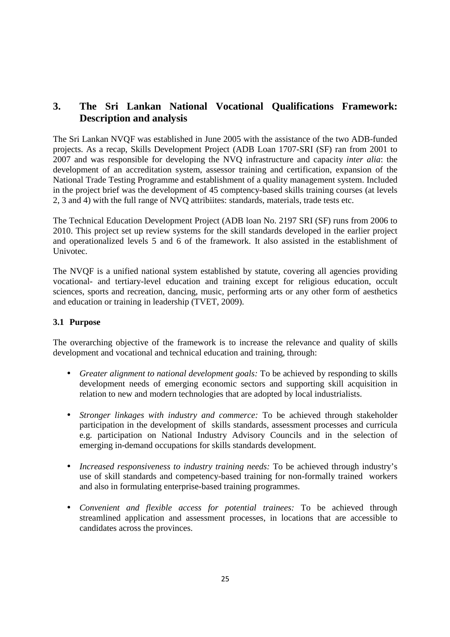## **3. The Sri Lankan National Vocational Qualifications Framework: Description and analysis**

The Sri Lankan NVQF was established in June 2005 with the assistance of the two ADB-funded projects. As a recap, Skills Development Project (ADB Loan 1707-SRI (SF) ran from 2001 to 2007 and was responsible for developing the NVQ infrastructure and capacity *inter alia*: the development of an accreditation system, assessor training and certification, expansion of the National Trade Testing Programme and establishment of a quality management system. Included in the project brief was the development of 45 comptency-based skills training courses (at levels 2, 3 and 4) with the full range of NVQ attribiites: standards, materials, trade tests etc.

The Technical Education Development Project (ADB loan No. 2197 SRI (SF) runs from 2006 to 2010. This project set up review systems for the skill standards developed in the earlier project and operationalized levels 5 and 6 of the framework. It also assisted in the establishment of Univotec.

The NVQF is a unified national system established by statute, covering all agencies providing vocational- and tertiary-level education and training except for religious education, occult sciences, sports and recreation, dancing, music, performing arts or any other form of aesthetics and education or training in leadership (TVET, 2009).

## **3.1 Purpose**

The overarching objective of the framework is to increase the relevance and quality of skills development and vocational and technical education and training, through:

- *Greater alignment to national development goals:* To be achieved by responding to skills development needs of emerging economic sectors and supporting skill acquisition in relation to new and modern technologies that are adopted by local industrialists.
- *Stronger linkages with industry and commerce:* To be achieved through stakeholder participation in the development of skills standards, assessment processes and curricula e.g. participation on National Industry Advisory Councils and in the selection of emerging in-demand occupations for skills standards development.
- *Increased responsiveness to industry training needs:* To be achieved through industry's use of skill standards and competency-based training for non-formally trained workers and also in formulating enterprise-based training programmes.
- *Convenient and flexible access for potential trainees:* To be achieved through streamlined application and assessment processes, in locations that are accessible to candidates across the provinces.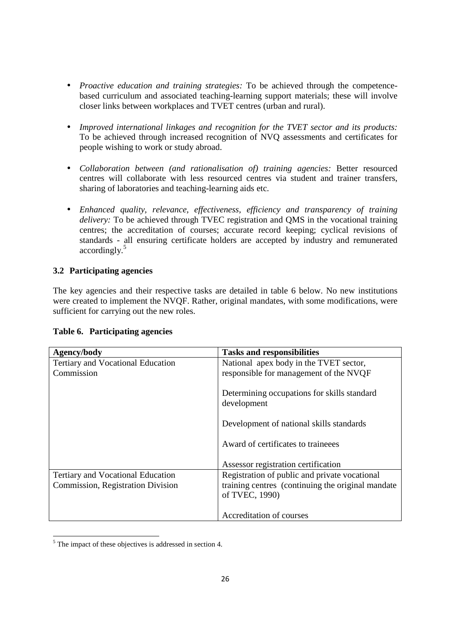- *Proactive education and training strategies:* To be achieved through the competencebased curriculum and associated teaching-learning support materials; these will involve closer links between workplaces and TVET centres (urban and rural).
- *Improved international linkages and recognition for the TVET sector and its products:* To be achieved through increased recognition of NVQ assessments and certificates for people wishing to work or study abroad.
- *Collaboration between (and rationalisation of) training agencies:* Better resourced centres will collaborate with less resourced centres via student and trainer transfers, sharing of laboratories and teaching-learning aids etc.
- *Enhanced quality, relevance, effectiveness, efficiency and transparency of training delivery:* To be achieved through TVEC registration and QMS in the vocational training centres; the accreditation of courses; accurate record keeping; cyclical revisions of standards - all ensuring certificate holders are accepted by industry and remunerated accordingly.<sup>5</sup>

## **3.2 Participating agencies**

The key agencies and their respective tasks are detailed in table 6 below. No new institutions were created to implement the NVQF. Rather, original mandates, with some modifications, were sufficient for carrying out the new roles.

| Table 6. Participating agencies |  |
|---------------------------------|--|
|---------------------------------|--|

| Agency/body                              | <b>Tasks and responsibilities</b>                                   |
|------------------------------------------|---------------------------------------------------------------------|
| Tertiary and Vocational Education        | National apex body in the TVET sector,                              |
| Commission                               | responsible for management of the NVQF                              |
|                                          | Determining occupations for skills standard<br>development          |
|                                          | Development of national skills standards                            |
|                                          | Award of certificates to traineees                                  |
|                                          | Assessor registration certification                                 |
| <b>Tertiary and Vocational Education</b> | Registration of public and private vocational                       |
| <b>Commission, Registration Division</b> | training centres (continuing the original mandate<br>of TVEC, 1990) |
|                                          | Accreditation of courses                                            |

<sup>&</sup>lt;u>.</u>  $<sup>5</sup>$  The impact of these objectives is addressed in section 4.</sup>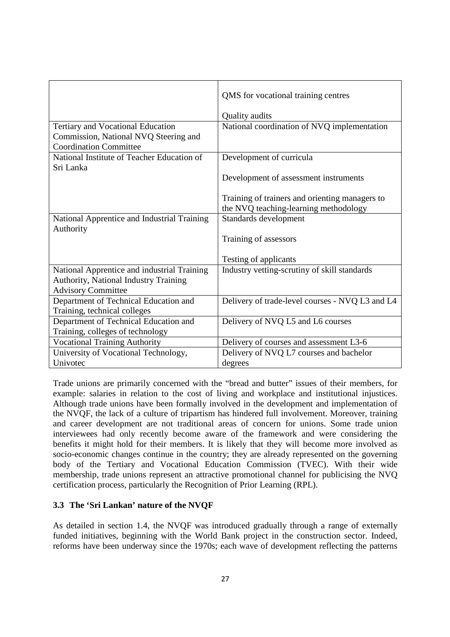|                                              | QMS for vocational training centres             |
|----------------------------------------------|-------------------------------------------------|
|                                              | Quality audits                                  |
| Tertiary and Vocational Education            | National coordination of NVQ implementation     |
| Commission, National NVQ Steering and        |                                                 |
| <b>Coordination Committee</b>                |                                                 |
| National Institute of Teacher Education of   | Development of curricula                        |
| Sri Lanka                                    |                                                 |
|                                              | Development of assessment instruments           |
|                                              |                                                 |
|                                              | Training of trainers and orienting managers to  |
|                                              | the NVQ teaching-learning methodology           |
| National Apprentice and Industrial Training  | Standards development                           |
| Authority                                    |                                                 |
|                                              | Training of assessors                           |
|                                              |                                                 |
|                                              | Testing of applicants                           |
| National Apprentice and industrial Training  | Industry vetting-scrutiny of skill standards    |
| <b>Authority, National Industry Training</b> |                                                 |
| <b>Advisory Committee</b>                    |                                                 |
| Department of Technical Education and        | Delivery of trade-level courses - NVQ L3 and L4 |
| Training, technical colleges                 |                                                 |
| Department of Technical Education and        | Delivery of NVQ L5 and L6 courses               |
| Training, colleges of technology             |                                                 |
| <b>Vocational Training Authority</b>         | Delivery of courses and assessment L3-6         |
| University of Vocational Technology,         | Delivery of NVQ L7 courses and bachelor         |
| Univotec                                     | degrees                                         |

Trade unions are primarily concerned with the "bread and butter" issues of their members, for example: salaries in relation to the cost of living and workplace and institutional injustices. Although trade unions have been formally involved in the development and implementation of the NVQF, the lack of a culture of tripartism has hindered full involvement. Moreover, training and career development are not traditional areas of concern for unions. Some trade union interviewees had only recently become aware of the framework and were considering the benefits it might hold for their members. It is likely that they will become more involved as socio-economic changes continue in the country; they are already represented on the governing body of the Tertiary and Vocational Education Commission (TVEC). With their wide membership, trade unions represent an attractive promotional channel for publicising the NVQ certification process, particularly the Recognition of Prior Learning (RPL).

#### **3.3 The 'Sri Lankan' nature of the NVQF**

As detailed in section 1.4, the NVQF was introduced gradually through a range of externally funded initiatives, beginning with the World Bank project in the construction sector. Indeed, reforms have been underway since the 1970s; each wave of development reflecting the patterns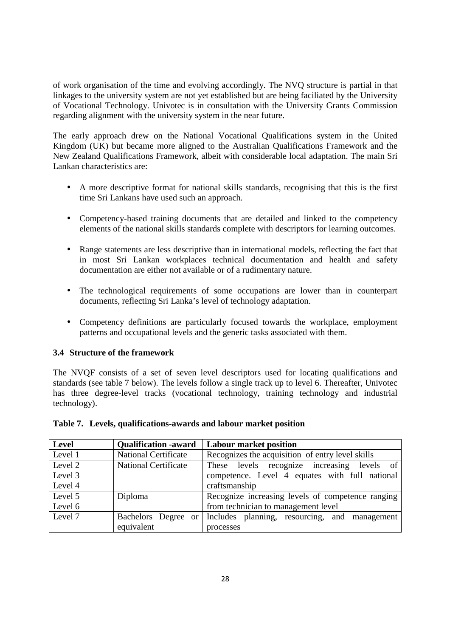of work organisation of the time and evolving accordingly. The NVQ structure is partial in that linkages to the university system are not yet established but are being faciliated by the University of Vocational Technology. Univotec is in consultation with the University Grants Commission regarding alignment with the university system in the near future.

The early approach drew on the National Vocational Qualifications system in the United Kingdom (UK) but became more aligned to the Australian Qualifications Framework and the New Zealand Qualifications Framework, albeit with considerable local adaptation. The main Sri Lankan characteristics are:

- A more descriptive format for national skills standards, recognising that this is the first time Sri Lankans have used such an approach.
- Competency-based training documents that are detailed and linked to the competency elements of the national skills standards complete with descriptors for learning outcomes.
- Range statements are less descriptive than in international models, reflecting the fact that in most Sri Lankan workplaces technical documentation and health and safety documentation are either not available or of a rudimentary nature.
- The technological requirements of some occupations are lower than in counterpart documents, reflecting Sri Lanka's level of technology adaptation.
- Competency definitions are particularly focused towards the workplace, employment patterns and occupational levels and the generic tasks associated with them.

#### **3.4 Structure of the framework**

The NVQF consists of a set of seven level descriptors used for locating qualifications and standards (see table 7 below). The levels follow a single track up to level 6. Thereafter, Univotec has three degree-level tracks (vocational technology, training technology and industrial technology).

#### **Table 7. Levels, qualifications-awards and labour market position**

| Level   | <b>Qualification -award</b> | <b>Labour market position</b>                     |  |  |  |  |  |
|---------|-----------------------------|---------------------------------------------------|--|--|--|--|--|
| Level 1 | <b>National Certificate</b> | Recognizes the acquisition of entry level skills  |  |  |  |  |  |
| Level 2 | <b>National Certificate</b> | These levels recognize increasing levels of       |  |  |  |  |  |
| Level 3 |                             | competence. Level 4 equates with full national    |  |  |  |  |  |
| Level 4 |                             | craftsmanship                                     |  |  |  |  |  |
| Level 5 | Diploma                     | Recognize increasing levels of competence ranging |  |  |  |  |  |
| Level 6 |                             | from technician to management level               |  |  |  |  |  |
| Level 7 | Bachelors Degree or         | Includes planning, resourcing, and management     |  |  |  |  |  |
|         | equivalent                  | processes                                         |  |  |  |  |  |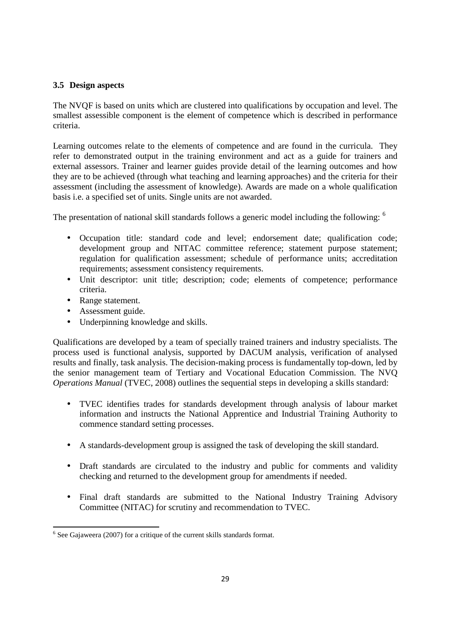## **3.5 Design aspects**

The NVQF is based on units which are clustered into qualifications by occupation and level. The smallest assessible component is the element of competence which is described in performance criteria.

Learning outcomes relate to the elements of competence and are found in the curricula. They refer to demonstrated output in the training environment and act as a guide for trainers and external assessors. Trainer and learner guides provide detail of the learning outcomes and how they are to be achieved (through what teaching and learning approaches) and the criteria for their assessment (including the assessment of knowledge). Awards are made on a whole qualification basis i.e. a specified set of units. Single units are not awarded.

The presentation of national skill standards follows a generic model including the following: <sup>6</sup>

- Occupation title: standard code and level; endorsement date; qualification code; development group and NITAC committee reference; statement purpose statement; regulation for qualification assessment; schedule of performance units; accreditation requirements; assessment consistency requirements.
- Unit descriptor: unit title; description; code; elements of competence; performance criteria.
- Range statement.
- Assessment guide.

<u>.</u>

• Underpinning knowledge and skills.

Qualifications are developed by a team of specially trained trainers and industry specialists. The process used is functional analysis, supported by DACUM analysis, verification of analysed results and finally, task analysis. The decision-making process is fundamentally top-down, led by the senior management team of Tertiary and Vocational Education Commission. The NVQ *Operations Manual* (TVEC, 2008) outlines the sequential steps in developing a skills standard:

- TVEC identifies trades for standards development through analysis of labour market information and instructs the National Apprentice and Industrial Training Authority to commence standard setting processes.
- A standards-development group is assigned the task of developing the skill standard.
- Draft standards are circulated to the industry and public for comments and validity checking and returned to the development group for amendments if needed.
- Final draft standards are submitted to the National Industry Training Advisory Committee (NITAC) for scrutiny and recommendation to TVEC.

 $6$  See Gajaweera (2007) for a critique of the current skills standards format.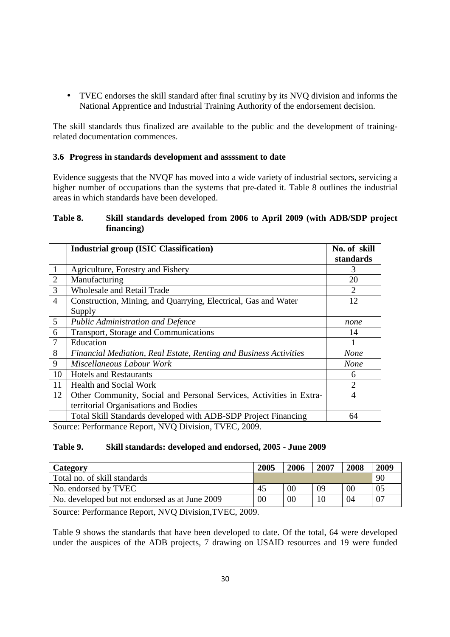• TVEC endorses the skill standard after final scrutiny by its NVQ division and informs the National Apprentice and Industrial Training Authority of the endorsement decision.

The skill standards thus finalized are available to the public and the development of trainingrelated documentation commences.

#### **3.6 Progress in standards development and assssment to date**

Evidence suggests that the NVQF has moved into a wide variety of industrial sectors, servicing a higher number of occupations than the systems that pre-dated it. Table 8 outlines the industrial areas in which standards have been developed.

#### **Table 8. Skill standards developed from 2006 to April 2009 (with ADB/SDP project financing)**

|                | <b>Industrial group (ISIC Classification)</b>                       | No. of skill                |
|----------------|---------------------------------------------------------------------|-----------------------------|
|                |                                                                     | standards                   |
|                | Agriculture, Forestry and Fishery                                   | 3                           |
| $\overline{2}$ | Manufacturing                                                       | 20                          |
| 3              | <b>Wholesale and Retail Trade</b>                                   | $\mathcal{D}_{\mathcal{L}}$ |
| $\overline{4}$ | Construction, Mining, and Quarrying, Electrical, Gas and Water      | 12                          |
|                | Supply                                                              |                             |
| 5              | <b>Public Administration and Defence</b>                            | none                        |
| 6              | Transport, Storage and Communications                               | 14                          |
| $\overline{7}$ | Education                                                           | 1                           |
| 8              | Financial Mediation, Real Estate, Renting and Business Activities   | <b>None</b>                 |
| 9              | Miscellaneous Labour Work                                           | <b>None</b>                 |
| 10             | <b>Hotels and Restaurants</b>                                       | 6                           |
| 11             | <b>Health and Social Work</b>                                       | $\overline{2}$              |
| 12             | Other Community, Social and Personal Services, Activities in Extra- | 4                           |
|                | territorial Organisations and Bodies                                |                             |
|                | Total Skill Standards developed with ADB-SDP Project Financing      | 64                          |
|                | Source: Performance Report, NVO Division, TVEC, 2009                |                             |

Source: Performance Report, NVQ Division, TVEC, 2009.

#### **Table 9. Skill standards: developed and endorsed, 2005 - June 2009**

| Category                                       | 2005           | 2006   | 2007 | 2008 | 2009 |
|------------------------------------------------|----------------|--------|------|------|------|
| Total no. of skill standards                   |                |        |      |      | 90   |
| No. endorsed by TVEC                           | 45             | $00\,$ | 09   | 00   | 05   |
| No. developed but not endorsed as at June 2009 | 0 <sup>0</sup> | 00     |      | 04   | 07   |

Source: Performance Report, NVQ Division,TVEC, 2009.

Table 9 shows the standards that have been developed to date. Of the total, 64 were developed under the auspices of the ADB projects, 7 drawing on USAID resources and 19 were funded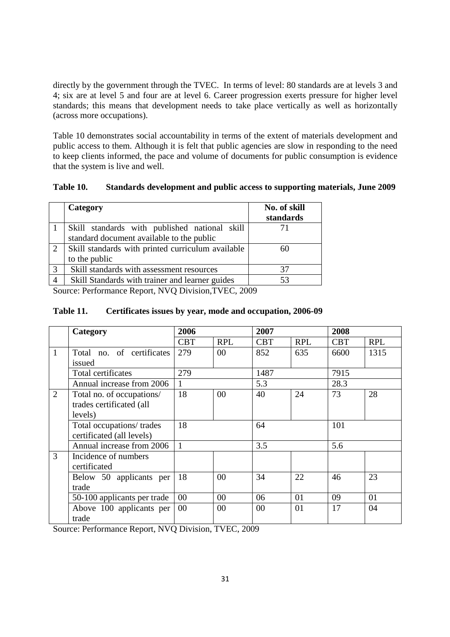directly by the government through the TVEC. In terms of level: 80 standards are at levels 3 and 4; six are at level 5 and four are at level 6. Career progression exerts pressure for higher level standards; this means that development needs to take place vertically as well as horizontally (across more occupations).

Table 10 demonstrates social accountability in terms of the extent of materials development and public access to them. Although it is felt that public agencies are slow in responding to the need to keep clients informed, the pace and volume of documents for public consumption is evidence that the system is live and well.

| Category                                      | No. of skill<br>standards |
|-----------------------------------------------|---------------------------|
| Skill standards with published national skill |                           |
| standard document available to the public     |                           |

#### **Table 10. Standards development and public access to supporting materials, June 2009**

60

Source: Performance Report, NVQ Division,TVEC, 2009

3 Skill standards with assessment resources 37 4 Skill Standards with trainer and learner guides 53

2 Skill standards with printed curriculum available

to the public

#### **Table 11. Certificates issues by year, mode and occupation, 2006-09**

|                | Category                    | 2006       |                | 2007       |            | 2008       |            |
|----------------|-----------------------------|------------|----------------|------------|------------|------------|------------|
|                |                             | <b>CBT</b> | <b>RPL</b>     | <b>CBT</b> | <b>RPL</b> | <b>CBT</b> | <b>RPL</b> |
| $\mathbf{1}$   | Total no. of certificates   | 279        | $00\,$         | 852        | 635        | 6600       | 1315       |
|                | issued                      |            |                |            |            |            |            |
|                | Total certificates          | 279        |                | 1487       |            | 7915       |            |
|                | Annual increase from 2006   | 1          |                | 5.3        |            | 28.3       |            |
| $\overline{2}$ | Total no. of occupations/   | 18         | 0 <sup>0</sup> | 40         | 24         | 73         | 28         |
|                | trades certificated (all    |            |                |            |            |            |            |
|                | levels)                     |            |                |            |            |            |            |
|                | Total occupations/ trades   | 18         |                | 64         |            | 101        |            |
|                | certificated (all levels)   |            |                |            |            |            |            |
|                | Annual increase from 2006   | 1          |                | 3.5        |            | 5.6        |            |
| 3              | Incidence of numbers        |            |                |            |            |            |            |
|                | certificated                |            |                |            |            |            |            |
|                | Below 50 applicants per     | 18         | 00             | 34         | 22         | 46         | 23         |
|                | trade                       |            |                |            |            |            |            |
|                | 50-100 applicants per trade | 00         | 00             | 06         | 01         | 09         | 01         |
|                | Above 100 applicants per    | 00         | 00             | $00\,$     | 01         | 17         | 04         |
|                | trade                       |            |                |            |            |            |            |

Source: Performance Report, NVQ Division, TVEC, 2009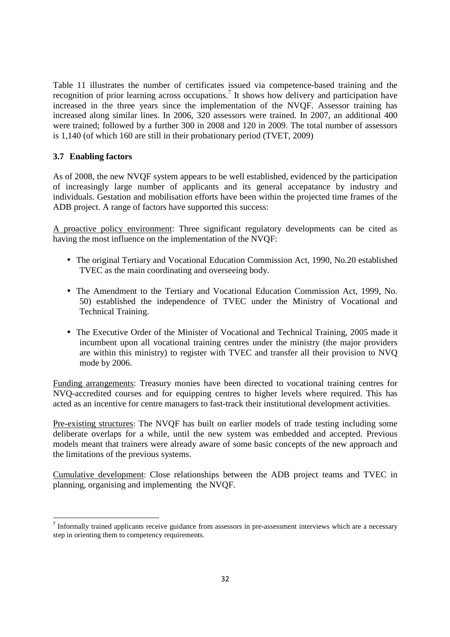Table 11 illustrates the number of certificates issued via competence-based training and the recognition of prior learning across occupations.<sup>7</sup> It shows how delivery and participation have increased in the three years since the implementation of the NVQF. Assessor training has increased along similar lines. In 2006, 320 assessors were trained. In 2007, an additional 400 were trained; followed by a further 300 in 2008 and 120 in 2009. The total number of assessors is 1,140 (of which 160 are still in their probationary period (TVET, 2009)

#### **3.7 Enabling factors**

<u>.</u>

As of 2008, the new NVQF system appears to be well established, evidenced by the participation of increasingly large number of applicants and its general accepatance by industry and individuals. Gestation and mobilisation efforts have been within the projected time frames of the ADB project. A range of factors have supported this success:

A proactive policy environment: Three significant regulatory developments can be cited as having the most influence on the implementation of the NVQF:

- The original Tertiary and Vocational Education Commission Act, 1990, No.20 established TVEC as the main coordinating and overseeing body.
- The Amendment to the Tertiary and Vocational Education Commission Act, 1999, No. 50) established the independence of TVEC under the Ministry of Vocational and Technical Training.
- The Executive Order of the Minister of Vocational and Technical Training, 2005 made it incumbent upon all vocational training centres under the ministry (the major providers are within this ministry) to register with TVEC and transfer all their provision to NVQ mode by 2006.

Funding arrangements: Treasury monies have been directed to vocational training centres for NVQ-accredited courses and for equipping centres to higher levels where required. This has acted as an incentive for centre managers to fast-track their institutional development activities.

Pre-existing structures: The NVQF has built on earlier models of trade testing including some deliberate overlaps for a while, until the new system was embedded and accepted. Previous models meant that trainers were already aware of some basic concepts of the new approach and the limitations of the previous systems.

Cumulative development: Close relationships between the ADB project teams and TVEC in planning, organising and implementing the NVQF.

<sup>&</sup>lt;sup>7</sup> Informally trained applicants receive guidance from assessors in pre-assessment interviews which are a necessary step in orienting them to competency requirements.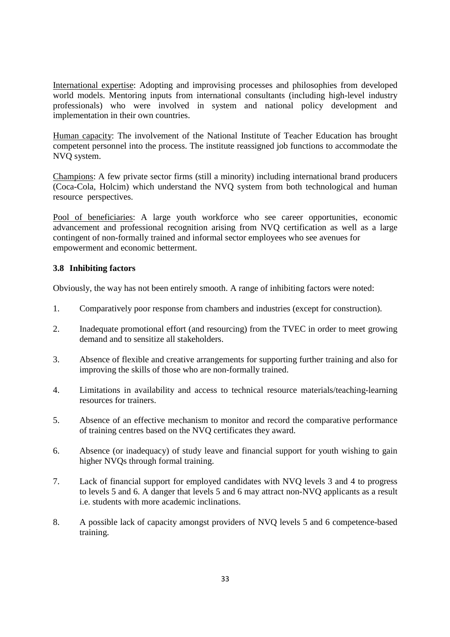International expertise: Adopting and improvising processes and philosophies from developed world models. Mentoring inputs from international consultants (including high-level industry professionals) who were involved in system and national policy development and implementation in their own countries.

Human capacity: The involvement of the National Institute of Teacher Education has brought competent personnel into the process. The institute reassigned job functions to accommodate the NVQ system.

Champions: A few private sector firms (still a minority) including international brand producers (Coca-Cola, Holcim) which understand the NVQ system from both technological and human resource perspectives.

Pool of beneficiaries: A large youth workforce who see career opportunities, economic advancement and professional recognition arising from NVQ certification as well as a large contingent of non-formally trained and informal sector employees who see avenues for empowerment and economic betterment.

## **3.8 Inhibiting factors**

Obviously, the way has not been entirely smooth. A range of inhibiting factors were noted:

- 1. Comparatively poor response from chambers and industries (except for construction).
- 2. Inadequate promotional effort (and resourcing) from the TVEC in order to meet growing demand and to sensitize all stakeholders.
- 3. Absence of flexible and creative arrangements for supporting further training and also for improving the skills of those who are non-formally trained.
- 4. Limitations in availability and access to technical resource materials/teaching-learning resources for trainers.
- 5. Absence of an effective mechanism to monitor and record the comparative performance of training centres based on the NVQ certificates they award.
- 6. Absence (or inadequacy) of study leave and financial support for youth wishing to gain higher NVQs through formal training.
- 7. Lack of financial support for employed candidates with NVQ levels 3 and 4 to progress to levels 5 and 6. A danger that levels 5 and 6 may attract non-NVQ applicants as a result i.e. students with more academic inclinations.
- 8. A possible lack of capacity amongst providers of NVQ levels 5 and 6 competence-based training.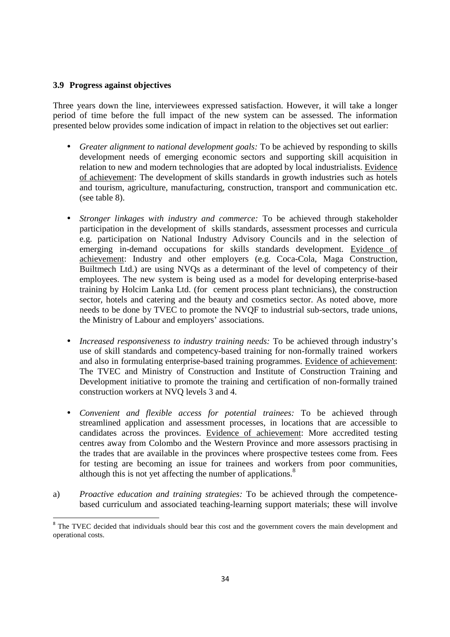#### **3.9 Progress against objectives**

<u>.</u>

Three years down the line, interviewees expressed satisfaction. However, it will take a longer period of time before the full impact of the new system can be assessed. The information presented below provides some indication of impact in relation to the objectives set out earlier:

- *Greater alignment to national development goals:* To be achieved by responding to skills development needs of emerging economic sectors and supporting skill acquisition in relation to new and modern technologies that are adopted by local industrialists. Evidence of achievement: The development of skills standards in growth industries such as hotels and tourism, agriculture, manufacturing, construction, transport and communication etc. (see table 8).
- *Stronger linkages with industry and commerce:* To be achieved through stakeholder participation in the development of skills standards, assessment processes and curricula e.g. participation on National Industry Advisory Councils and in the selection of emerging in-demand occupations for skills standards development. Evidence of achievement: Industry and other employers (e.g. Coca-Cola, Maga Construction, Builtmech Ltd.) are using NVQs as a determinant of the level of competency of their employees. The new system is being used as a model for developing enterprise-based training by Holcim Lanka Ltd. (for cement process plant technicians), the construction sector, hotels and catering and the beauty and cosmetics sector. As noted above, more needs to be done by TVEC to promote the NVQF to industrial sub-sectors, trade unions, the Ministry of Labour and employers' associations.
- *Increased responsiveness to industry training needs:* To be achieved through industry's use of skill standards and competency-based training for non-formally trained workers and also in formulating enterprise-based training programmes. Evidence of achievement: The TVEC and Ministry of Construction and Institute of Construction Training and Development initiative to promote the training and certification of non-formally trained construction workers at NVQ levels 3 and 4.
- *Convenient and flexible access for potential trainees:* To be achieved through streamlined application and assessment processes, in locations that are accessible to candidates across the provinces. Evidence of achievement: More accredited testing centres away from Colombo and the Western Province and more assessors practising in the trades that are available in the provinces where prospective testees come from. Fees for testing are becoming an issue for trainees and workers from poor communities, although this is not yet affecting the number of applications.<sup>8</sup>
- a) *Proactive education and training strategies:* To be achieved through the competencebased curriculum and associated teaching-learning support materials; these will involve

<sup>&</sup>lt;sup>8</sup> The TVEC decided that individuals should bear this cost and the government covers the main development and operational costs.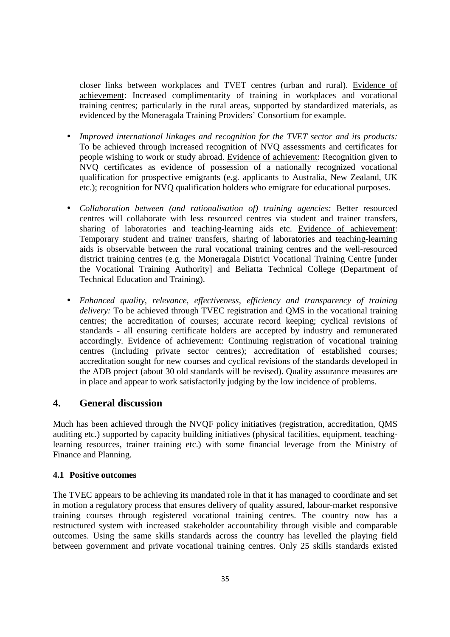closer links between workplaces and TVET centres (urban and rural). Evidence of achievement: Increased complimentarity of training in workplaces and vocational training centres; particularly in the rural areas, supported by standardized materials, as evidenced by the Moneragala Training Providers' Consortium for example.

- *Improved international linkages and recognition for the TVET sector and its products:* To be achieved through increased recognition of NVQ assessments and certificates for people wishing to work or study abroad. Evidence of achievement: Recognition given to NVQ certificates as evidence of possession of a nationally recognized vocational qualification for prospective emigrants (e.g. applicants to Australia, New Zealand, UK etc.); recognition for NVQ qualification holders who emigrate for educational purposes.
- *Collaboration between (and rationalisation of) training agencies:* Better resourced centres will collaborate with less resourced centres via student and trainer transfers, sharing of laboratories and teaching-learning aids etc. Evidence of achievement: Temporary student and trainer transfers, sharing of laboratories and teaching-learning aids is observable between the rural vocational training centres and the well-resourced district training centres (e.g. the Moneragala District Vocational Training Centre [under the Vocational Training Authority] and Beliatta Technical College (Department of Technical Education and Training).
- *Enhanced quality, relevance, effectiveness, efficiency and transparency of training delivery:* To be achieved through TVEC registration and QMS in the vocational training centres; the accreditation of courses; accurate record keeping; cyclical revisions of standards - all ensuring certificate holders are accepted by industry and remunerated accordingly. Evidence of achievement: Continuing registration of vocational training centres (including private sector centres); accreditation of established courses; accreditation sought for new courses and cyclical revisions of the standards developed in the ADB project (about 30 old standards will be revised). Quality assurance measures are in place and appear to work satisfactorily judging by the low incidence of problems.

## **4. General discussion**

Much has been achieved through the NVQF policy initiatives (registration, accreditation, QMS auditing etc.) supported by capacity building initiatives (physical facilities, equipment, teachinglearning resources, trainer training etc.) with some financial leverage from the Ministry of Finance and Planning.

#### **4.1 Positive outcomes**

The TVEC appears to be achieving its mandated role in that it has managed to coordinate and set in motion a regulatory process that ensures delivery of quality assured, labour-market responsive training courses through registered vocational training centres. The country now has a restructured system with increased stakeholder accountability through visible and comparable outcomes. Using the same skills standards across the country has levelled the playing field between government and private vocational training centres. Only 25 skills standards existed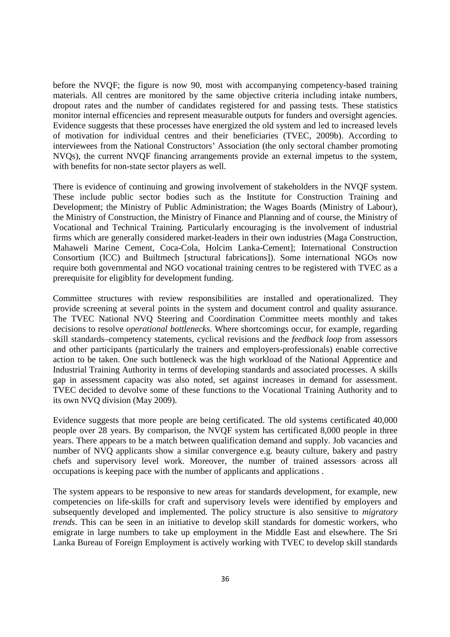before the NVQF; the figure is now 90, most with accompanying competency-based training materials. All centres are monitored by the same objective criteria including intake numbers, dropout rates and the number of candidates registered for and passing tests. These statistics monitor internal efficencies and represent measurable outputs for funders and oversight agencies. Evidence suggests that these processes have energized the old system and led to increased levels of motivation for individual centres and their beneficiaries (TVEC, 2009b). According to interviewees from the National Constructors' Association (the only sectoral chamber promoting NVQs), the current NVQF financing arrangements provide an external impetus to the system, with benefits for non-state sector players as well.

There is evidence of continuing and growing involvement of stakeholders in the NVQF system. These include public sector bodies such as the Institute for Construction Training and Development; the Ministry of Public Administration; the Wages Boards (Ministry of Labour), the Ministry of Construction, the Ministry of Finance and Planning and of course, the Ministry of Vocational and Technical Training. Particularly encouraging is the involvement of industrial firms which are generally considered market-leaders in their own industries (Maga Construction, Mahaweli Marine Cement, Coca-Cola, Holcim Lanka-Cement]; International Construction Consortium (ICC) and Builtmech [structural fabrications]). Some international NGOs now require both governmental and NGO vocational training centres to be registered with TVEC as a prerequisite for eligiblity for development funding.

Committee structures with review responsibilities are installed and operationalized. They provide screening at several points in the system and document control and quality assurance. The TVEC National NVQ Steering and Coordination Committee meets monthly and takes decisions to resolve *operational bottlenecks*. Where shortcomings occur, for example, regarding skill standards–competency statements, cyclical revisions and the *feedback loop* from assessors and other participants (particularly the trainers and employers-professionals) enable corrective action to be taken. One such bottleneck was the high workload of the National Apprentice and Industrial Training Authority in terms of developing standards and associated processes. A skills gap in assessment capacity was also noted, set against increases in demand for assessment. TVEC decided to devolve some of these functions to the Vocational Training Authority and to its own NVQ division (May 2009).

Evidence suggests that more people are being certificated. The old systems certificated 40,000 people over 28 years. By comparison, the NVQF system has certificated 8,000 people in three years. There appears to be a match between qualification demand and supply. Job vacancies and number of NVQ applicants show a similar convergence e.g. beauty culture, bakery and pastry chefs and supervisory level work. Moreover, the number of trained assessors across all occupations is keeping pace with the number of applicants and applications .

The system appears to be responsive to new areas for standards development, for example, new competencies on life-skills for craft and supervisory levels were identified by employers and subsequently developed and implemented. The policy structure is also sensitive to *migratory trends*. This can be seen in an initiative to develop skill standards for domestic workers, who emigrate in large numbers to take up employment in the Middle East and elsewhere. The Sri Lanka Bureau of Foreign Employment is actively working with TVEC to develop skill standards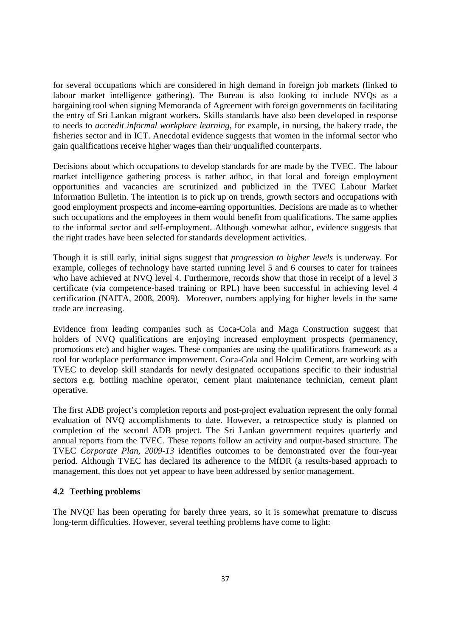for several occupations which are considered in high demand in foreign job markets (linked to labour market intelligence gathering). The Bureau is also looking to include NVQs as a bargaining tool when signing Memoranda of Agreement with foreign governments on facilitating the entry of Sri Lankan migrant workers. Skills standards have also been developed in response to needs to *accredit informal workplace learning*, for example, in nursing, the bakery trade, the fisheries sector and in ICT. Anecdotal evidence suggests that women in the informal sector who gain qualifications receive higher wages than their unqualified counterparts.

Decisions about which occupations to develop standards for are made by the TVEC. The labour market intelligence gathering process is rather adhoc, in that local and foreign employment opportunities and vacancies are scrutinized and publicized in the TVEC Labour Market Information Bulletin. The intention is to pick up on trends, growth sectors and occupations with good employment prospects and income-earning opportunities. Decisions are made as to whether such occupations and the employees in them would benefit from qualifications. The same applies to the informal sector and self-employment. Although somewhat adhoc, evidence suggests that the right trades have been selected for standards development activities.

Though it is still early, initial signs suggest that *progression to higher levels* is underway. For example, colleges of technology have started running level 5 and 6 courses to cater for trainees who have achieved at NVQ level 4. Furthermore, records show that those in receipt of a level 3 certificate (via competence-based training or RPL) have been successful in achieving level 4 certification (NAITA, 2008, 2009). Moreover, numbers applying for higher levels in the same trade are increasing.

Evidence from leading companies such as Coca-Cola and Maga Construction suggest that holders of NVO qualifications are enjoying increased employment prospects (permanency, promotions etc) and higher wages. These companies are using the qualifications framework as a tool for workplace performance improvement. Coca-Cola and Holcim Cement, are working with TVEC to develop skill standards for newly designated occupations specific to their industrial sectors e.g. bottling machine operator, cement plant maintenance technician, cement plant operative.

The first ADB project's completion reports and post-project evaluation represent the only formal evaluation of NVQ accomplishments to date. However, a retrospectice study is planned on completion of the second ADB project. The Sri Lankan government requires quarterly and annual reports from the TVEC. These reports follow an activity and output-based structure. The TVEC *Corporate Plan, 2009-13* identifies outcomes to be demonstrated over the four-year period. Although TVEC has declared its adherence to the MfDR (a results-based approach to management, this does not yet appear to have been addressed by senior management.

#### **4.2 Teething problems**

The NVQF has been operating for barely three years, so it is somewhat premature to discuss long-term difficulties. However, several teething problems have come to light: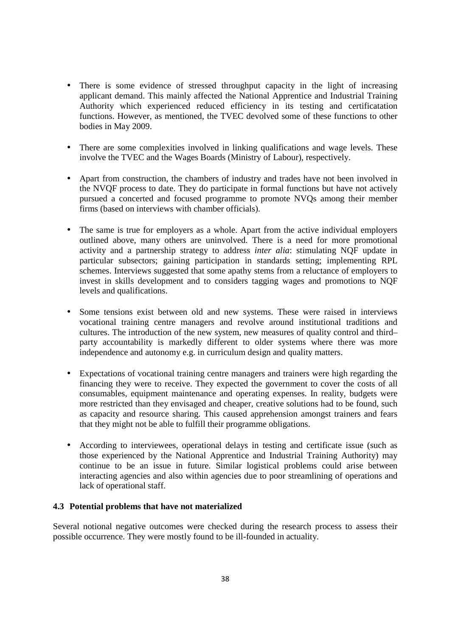- There is some evidence of stressed throughput capacity in the light of increasing applicant demand. This mainly affected the National Apprentice and Industrial Training Authority which experienced reduced efficiency in its testing and certificatation functions. However, as mentioned, the TVEC devolved some of these functions to other bodies in May 2009.
- There are some complexities involved in linking qualifications and wage levels. These involve the TVEC and the Wages Boards (Ministry of Labour), respectively.
- Apart from construction, the chambers of industry and trades have not been involved in the NVQF process to date. They do participate in formal functions but have not actively pursued a concerted and focused programme to promote NVQs among their member firms (based on interviews with chamber officials).
- The same is true for employers as a whole. Apart from the active individual employers outlined above, many others are uninvolved. There is a need for more promotional activity and a partnership strategy to address *inter alia*: stimulating NQF update in particular subsectors; gaining participation in standards setting; implementing RPL schemes. Interviews suggested that some apathy stems from a reluctance of employers to invest in skills development and to considers tagging wages and promotions to NQF levels and qualifications.
- Some tensions exist between old and new systems. These were raised in interviews vocational training centre managers and revolve around institutional traditions and cultures. The introduction of the new system, new measures of quality control and third– party accountability is markedly different to older systems where there was more independence and autonomy e.g. in curriculum design and quality matters.
- Expectations of vocational training centre managers and trainers were high regarding the financing they were to receive. They expected the government to cover the costs of all consumables, equipment maintenance and operating expenses. In reality, budgets were more restricted than they envisaged and cheaper, creative solutions had to be found, such as capacity and resource sharing. This caused apprehension amongst trainers and fears that they might not be able to fulfill their programme obligations.
- According to interviewees, operational delays in testing and certificate issue (such as those experienced by the National Apprentice and Industrial Training Authority) may continue to be an issue in future. Similar logistical problems could arise between interacting agencies and also within agencies due to poor streamlining of operations and lack of operational staff.

#### **4.3 Potential problems that have not materialized**

Several notional negative outcomes were checked during the research process to assess their possible occurrence. They were mostly found to be ill-founded in actuality.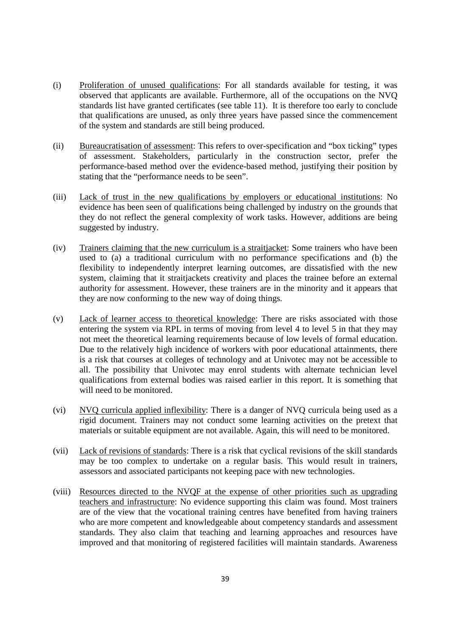- (i) Proliferation of unused qualifications: For all standards available for testing, it was observed that applicants are available. Furthermore, all of the occupations on the NVQ standards list have granted certificates (see table 11). It is therefore too early to conclude that qualifications are unused, as only three years have passed since the commencement of the system and standards are still being produced.
- (ii) Bureaucratisation of assessment: This refers to over-specification and "box ticking" types of assessment. Stakeholders, particularly in the construction sector, prefer the performance-based method over the evidence-based method, justifying their position by stating that the "performance needs to be seen".
- (iii) Lack of trust in the new qualifications by employers or educational institutions: No evidence has been seen of qualifications being challenged by industry on the grounds that they do not reflect the general complexity of work tasks. However, additions are being suggested by industry.
- (iv) Trainers claiming that the new curriculum is a straitjacket: Some trainers who have been used to (a) a traditional curriculum with no performance specifications and (b) the flexibility to independently interpret learning outcomes, are dissatisfied with the new system, claiming that it straitiackets creativity and places the trainee before an external authority for assessment. However, these trainers are in the minority and it appears that they are now conforming to the new way of doing things.
- (v) Lack of learner access to theoretical knowledge: There are risks associated with those entering the system via RPL in terms of moving from level 4 to level 5 in that they may not meet the theoretical learning requirements because of low levels of formal education. Due to the relatively high incidence of workers with poor educational attainments, there is a risk that courses at colleges of technology and at Univotec may not be accessible to all. The possibility that Univotec may enrol students with alternate technician level qualifications from external bodies was raised earlier in this report. It is something that will need to be monitored.
- (vi) NVQ curricula applied inflexibility: There is a danger of NVQ curricula being used as a rigid document. Trainers may not conduct some learning activities on the pretext that materials or suitable equipment are not available. Again, this will need to be monitored.
- (vii) Lack of revisions of standards: There is a risk that cyclical revisions of the skill standards may be too complex to undertake on a regular basis. This would result in trainers, assessors and associated participants not keeping pace with new technologies.
- (viii) Resources directed to the NVQF at the expense of other priorities such as upgrading teachers and infrastructure: No evidence supporting this claim was found. Most trainers are of the view that the vocational training centres have benefited from having trainers who are more competent and knowledgeable about competency standards and assessment standards. They also claim that teaching and learning approaches and resources have improved and that monitoring of registered facilities will maintain standards. Awareness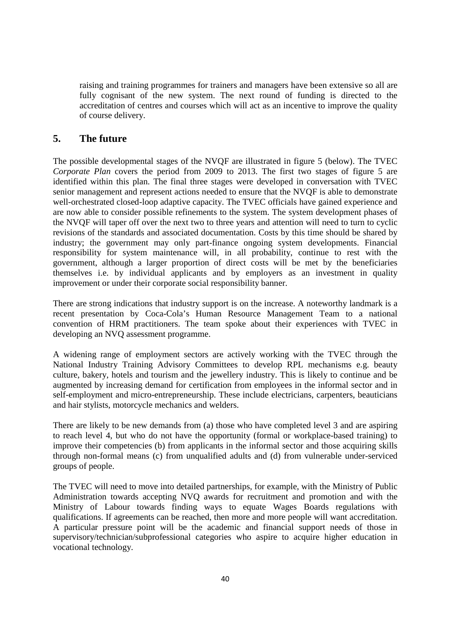raising and training programmes for trainers and managers have been extensive so all are fully cognisant of the new system. The next round of funding is directed to the accreditation of centres and courses which will act as an incentive to improve the quality of course delivery.

## **5. The future**

The possible developmental stages of the NVQF are illustrated in figure 5 (below). The TVEC *Corporate Plan* covers the period from 2009 to 2013. The first two stages of figure 5 are identified within this plan. The final three stages were developed in conversation with TVEC senior management and represent actions needed to ensure that the NVQF is able to demonstrate well-orchestrated closed-loop adaptive capacity. The TVEC officials have gained experience and are now able to consider possible refinements to the system. The system development phases of the NVQF will taper off over the next two to three years and attention will need to turn to cyclic revisions of the standards and associated documentation. Costs by this time should be shared by industry; the government may only part-finance ongoing system developments. Financial responsibility for system maintenance will, in all probability, continue to rest with the government, although a larger proportion of direct costs will be met by the beneficiaries themselves i.e. by individual applicants and by employers as an investment in quality improvement or under their corporate social responsibility banner.

There are strong indications that industry support is on the increase. A noteworthy landmark is a recent presentation by Coca-Cola's Human Resource Management Team to a national convention of HRM practitioners. The team spoke about their experiences with TVEC in developing an NVQ assessment programme.

A widening range of employment sectors are actively working with the TVEC through the National Industry Training Advisory Committees to develop RPL mechanisms e.g. beauty culture, bakery, hotels and tourism and the jewellery industry. This is likely to continue and be augmented by increasing demand for certification from employees in the informal sector and in self-employment and micro-entrepreneurship. These include electricians, carpenters, beauticians and hair stylists, motorcycle mechanics and welders.

There are likely to be new demands from (a) those who have completed level 3 and are aspiring to reach level 4, but who do not have the opportunity (formal or workplace-based training) to improve their competencies (b) from applicants in the informal sector and those acquiring skills through non-formal means (c) from unqualified adults and (d) from vulnerable under-serviced groups of people.

The TVEC will need to move into detailed partnerships, for example, with the Ministry of Public Administration towards accepting NVQ awards for recruitment and promotion and with the Ministry of Labour towards finding ways to equate Wages Boards regulations with qualifications. If agreements can be reached, then more and more people will want accreditation. A particular pressure point will be the academic and financial support needs of those in supervisory/technician/subprofessional categories who aspire to acquire higher education in vocational technology.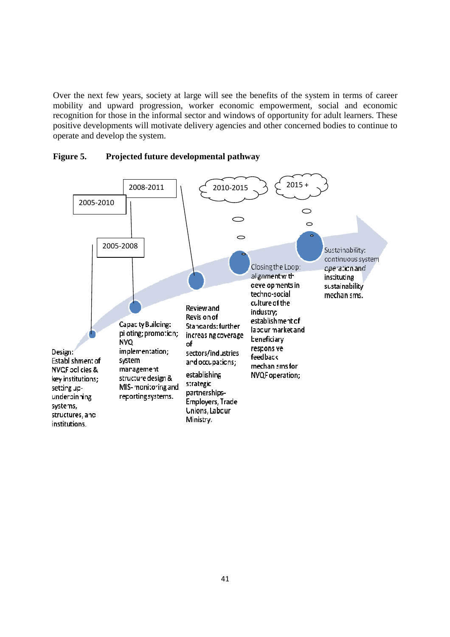Over the next few years, society at large will see the benefits of the system in terms of career mobility and upward progression, worker economic empowerment, social and economic recognition for those in the informal sector and windows of opportunity for adult learners. These positive developments will motivate delivery agencies and other concerned bodies to continue to operate and develop the system.



#### **Figure 5. Projected future developmental pathway**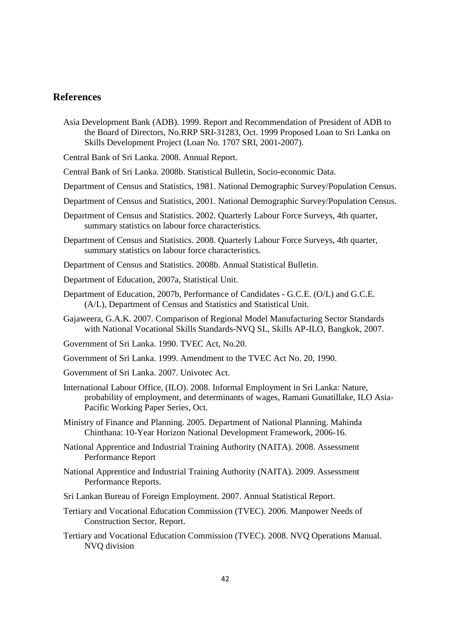## **References**

Asia Development Bank (ADB). 1999. Report and Recommendation of President of ADB to the Board of Directors, No.RRP SRI-31283, Oct. 1999 Proposed Loan to Sri Lanka on Skills Development Project (Loan No. 1707 SRI, 2001-2007).

Central Bank of Sri Lanka. 2008. Annual Report.

Central Bank of Sri Lanka. 2008b. Statistical Bulletin, Socio-economic Data.

- Department of Census and Statistics, 1981. National Demographic Survey/Population Census.
- Department of Census and Statistics, 2001. National Demographic Survey/Population Census.
- Department of Census and Statistics. 2002. Quarterly Labour Force Surveys, 4th quarter, summary statistics on labour force characteristics.
- Department of Census and Statistics. 2008. Quarterly Labour Force Surveys, 4th quarter, summary statistics on labour force characteristics.
- Department of Census and Statistics. 2008b. Annual Statistical Bulletin.
- Department of Education, 2007a, Statistical Unit.
- Department of Education, 2007b, Performance of Candidates G.C.E. (O/L) and G.C.E. (A/L), Department of Census and Statistics and Statistical Unit.
- Gajaweera, G.A.K. 2007. Comparison of Regional Model Manufacturing Sector Standards with National Vocational Skills Standards-NVQ SL, Skills AP-ILO, Bangkok, 2007.
- Government of Sri Lanka. 1990. TVEC Act, No.20.
- Government of Sri Lanka. 1999. Amendment to the TVEC Act No. 20, 1990.
- Government of Sri Lanka. 2007. Univotec Act.
- International Labour Office, (ILO). 2008. Informal Employment in Sri Lanka: Nature, probability of employment, and determinants of wages, Ramani Gunatillake, ILO Asia-Pacific Working Paper Series, Oct.
- Ministry of Finance and Planning. 2005. Department of National Planning. Mahinda Chinthana: 10-Year Horizon National Development Framework, 2006-16.
- National Apprentice and Industrial Training Authority (NAITA). 2008. Assessment Performance Report
- National Apprentice and Industrial Training Authority (NAITA). 2009. Assessment Performance Reports.
- Sri Lankan Bureau of Foreign Employment. 2007. Annual Statistical Report.
- Tertiary and Vocational Education Commission (TVEC). 2006. Manpower Needs of Construction Sector, Report.
- Tertiary and Vocational Education Commission (TVEC). 2008. NVQ Operations Manual. NVQ division